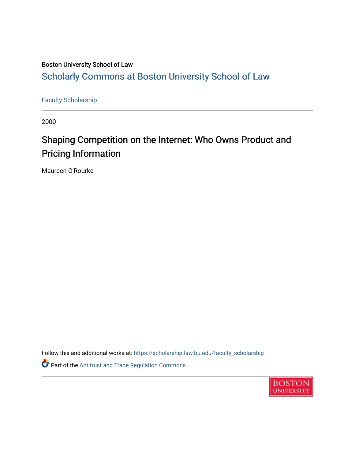# Boston University School of Law [Scholarly Commons at Boston University School of Law](https://scholarship.law.bu.edu/)

[Faculty Scholarship](https://scholarship.law.bu.edu/faculty_scholarship)

2000

# Shaping Competition on the Internet: Who Owns Product and Pricing Information

Maureen O'Rourke

Follow this and additional works at: [https://scholarship.law.bu.edu/faculty\\_scholarship](https://scholarship.law.bu.edu/faculty_scholarship?utm_source=scholarship.law.bu.edu%2Ffaculty_scholarship%2F1547&utm_medium=PDF&utm_campaign=PDFCoverPages) Part of the [Antitrust and Trade Regulation Commons](http://network.bepress.com/hgg/discipline/911?utm_source=scholarship.law.bu.edu%2Ffaculty_scholarship%2F1547&utm_medium=PDF&utm_campaign=PDFCoverPages) 

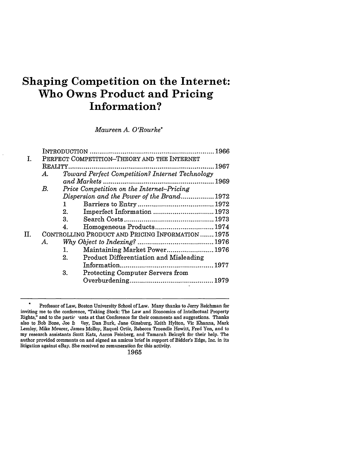# **Shaping Competition on the Internet: Who Owns Product and Pricing Information?**

*Maureen A. O'Rourke\**

|    | PERFECT COMPETITION-THEORY AND THE INTERNET       |                                                 |                                               |  |  |  |
|----|---------------------------------------------------|-------------------------------------------------|-----------------------------------------------|--|--|--|
|    |                                                   |                                                 |                                               |  |  |  |
|    | А.                                                | Toward Perfect Competition? Internet Technology |                                               |  |  |  |
|    |                                                   | .1969                                           |                                               |  |  |  |
|    | В.                                                |                                                 | Price Competition on the Internet-Pricing     |  |  |  |
|    |                                                   |                                                 | Dispersion and the Power of the Brand1972     |  |  |  |
|    |                                                   | 1                                               |                                               |  |  |  |
|    |                                                   | 2.                                              | Imperfect Information  1973                   |  |  |  |
|    |                                                   | 3.                                              |                                               |  |  |  |
|    |                                                   | 4.                                              | Homogeneous Products 1974                     |  |  |  |
| П. | CONTROLLING PRODUCT AND PRICING INFORMATION  1975 |                                                 |                                               |  |  |  |
|    | А.                                                |                                                 |                                               |  |  |  |
|    |                                                   | 1.                                              | Maintaining Market Power 1976                 |  |  |  |
|    |                                                   | 2.                                              | <b>Product Differentiation and Misleading</b> |  |  |  |
|    |                                                   |                                                 |                                               |  |  |  |
|    |                                                   | 3.                                              | <b>Protecting Computer Servers from</b>       |  |  |  |
|    |                                                   |                                                 |                                               |  |  |  |
|    |                                                   |                                                 |                                               |  |  |  |

**<sup>\*</sup>** Professor of Law, Boston University School of Law. Many thanks to Jerry Reichman for inviting me to the conference, "Taking Stock: The Law and Economics of Intellectual Property Rights," and to the partic rants at that Conference for their comments and suggestions. Thanks also to Bob Bone, Joe **B** Iley, Dan Burk, Jane Ginsburg, Keith Hylton, Vic Khanna, Mark Lemley, Mike Meurer, James Molloy, Raquel Ortiz, Rebecca Troendle Hewitt, Fred Yen, and to my research assistants Scott Katz, Aaron Feinberg, and Tamarah Belczyk for their help. The author provided comments on and signed an amicus brief in support of Bidder's Edge, Inc. in its litigation against eBay. She received no remuneration for this activity.

**<sup>1965</sup>**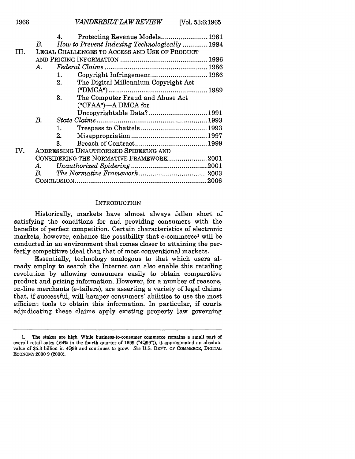|      |                                               | 4.                                      | Protecting Revenue Models 1981               |  |  |  |  |
|------|-----------------------------------------------|-----------------------------------------|----------------------------------------------|--|--|--|--|
|      | B.                                            |                                         | How to Prevent Indexing Technologically 1984 |  |  |  |  |
| III. | LEGAL CHALLENGES TO ACCESS AND USE OF PRODUCT |                                         |                                              |  |  |  |  |
|      |                                               |                                         |                                              |  |  |  |  |
|      |                                               |                                         |                                              |  |  |  |  |
|      | A.                                            |                                         |                                              |  |  |  |  |
|      |                                               | 1.                                      | Copyright Infringement1986                   |  |  |  |  |
|      |                                               | 2.                                      | The Digital Millennium Copyright Act         |  |  |  |  |
|      |                                               |                                         |                                              |  |  |  |  |
|      |                                               | 3.                                      | The Computer Fraud and Abuse Act             |  |  |  |  |
|      |                                               |                                         | ("CFAA")---A DMCA for                        |  |  |  |  |
|      |                                               |                                         | Uncopyrightable Data?1991                    |  |  |  |  |
|      | В.                                            |                                         |                                              |  |  |  |  |
|      |                                               | 1.                                      |                                              |  |  |  |  |
|      |                                               | 2.                                      |                                              |  |  |  |  |
|      |                                               | $\mathbf{a}$                            |                                              |  |  |  |  |
| IV.  | ADDRESSING UNAUTHORIZED SPIDERING AND         |                                         |                                              |  |  |  |  |
|      |                                               | CONSIDERING THE NORMATIVE FRAMEWORK2001 |                                              |  |  |  |  |
|      | A.                                            |                                         |                                              |  |  |  |  |
|      | $B_{\rm c}$                                   |                                         |                                              |  |  |  |  |
|      |                                               |                                         |                                              |  |  |  |  |
|      |                                               |                                         |                                              |  |  |  |  |

#### INTRODUCTION

Historically, markets have almost always fallen short of satisfying the conditions for and providing consumers with the benefits of perfect competition. Certain characteristics of electronic markets, however, enhance the possibility that e-commercel will be conducted in an environment that comes closer to attaining the perfectly competitive ideal than that of most conventional markets.

Essentially, technology analogous to that which users already employ to search the Internet can also enable this retailing revolution by allowing consumers easily to obtain comparative product and pricing information. However, for a number of reasons, on-line merchants (e-tailers), are asserting a variety of legal claims that, if successful, will hamper consumers' abilities to use the most efficient tools to obtain this information. In particular, if courts adjudicating these claims apply existing property law governing

**<sup>1.</sup>** The stakes are high. While business-to-consumer commerce remains a small part of overall retail sales (.64% in the fourth quarter of 1999 ("4Q99")), it approximated an absolute value of \$5.3 billion in 4Q99 and continues to grow. See U.S. **DEP'T.** OF COMMERCE, DIGITAL ECONOMY 2000 9 (2000).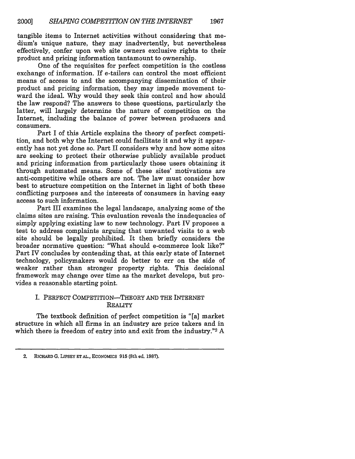tangible items to Internet activities without considering that medium's unique nature, they may inadvertently, but nevertheless effectively, confer upon web site owners exclusive rights to their product and pricing information tantamount to ownership.

One of the requisites for perfect competition is the costless exchange of information. If e-tailers can control the most efficient means of access to and the accompanying dissemination of their product and pricing information, they may impede movement toward the ideal. Why would they seek this control and how should the law respond? The answers to these questions, particularly the latter, will largely determine the nature of competition on the Internet, including the balance of power between producers and consumers.

Part I of this Article explains the theory of perfect competition, and both why the Internet could facilitate it and why it apparently has not yet done so. Part II considers why and how some sites are seeking to protect their otherwise publicly available product and pricing information from particularly those users obtaining it through automated means. Some of these sites' motivations are anti-competitive while others are not. The law must consider how best to structure competition on the Internet in light of both these conflicting purposes and the interests of consumers in having easy access to such information.

Part III examines the legal landscape, analyzing some of the claims sites are raising. This evaluation reveals the inadequacies of simply applying existing law to new technology. Part IV proposes a test to address complaints arguing that unwanted visits to a web site should be legally prohibited. It then briefly considers the broader normative question: "What should e-commerce look like?" Part IV concludes by contending that, at this early state of Internet technology, policymakers would do better to err on the side of weaker rather than stronger property rights. This decisional framework may change over time as the market develops, but provides a reasonable starting point.

# I. PERFECT COMPETITION-THEORY AND THE INTERNET **REALITY**

The textbook definition of perfect competition is "[a] market structure in which all firms in an industry are price takers and in which there is freedom of entry into and exit from the industry."<sup>2</sup> A

<sup>2.</sup> RICHARD G. LIPSEY ET AL., ECONOMICS **915** (8th ed. 1987).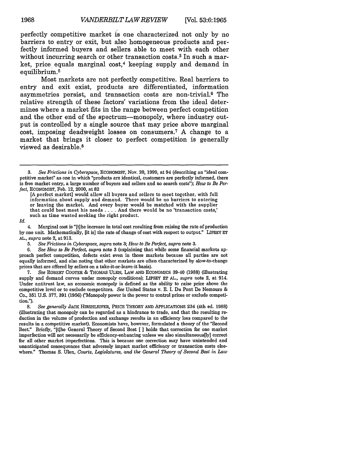perfectly competitive market is one characterized not only by no barriers to entry or exit, but also homogeneous products and perfectly informed buyers and sellers able to meet with each other without incurring search or other transaction costs.<sup>3</sup> In such a market, price equals marginal  $cost<sub>1</sub><sup>4</sup>$  keeping supply and demand in equilibrium.<sup>5</sup>

Most markets are not perfectly competitive. Real barriers to entry and exit exist, products are differentiated, information asymmetries persist, and transaction costs are non-trivial.6 The relative strength of these factors' variations from the ideal determines where a market fits in the range between perfect competition and the other end of the spectrum---monopoly, where industry output is controlled by a single source that may price above marginal cost, imposing deadweight losses on consumers.<sup>7</sup> A change to a market that brings it closer to perfect competition is generally viewed as desirable. <sup>8</sup>

#### *Id.*

**5.** *See Frictions in Cyberspace, supra* note 3; *How to Be Perfect, supra* note 3.

6. *See How to Be Perfect, supra* note 3 (explaining that while some financial markets approach perfect competition, defects exist even in those markets because all parties are not equally informed, and also noting that other markets are often characterized by slow-to-change prices that are offered by sellers on a take-it-or-leave-it basis).

**7.** *See* ROBERT COOTER & THOMAS ULEN, LAW AND ECONOMICS 39-40 (1988) (illustrating supply and demand curves under monopoly conditions); LIPSEY ET AL., *supra* note 2, at 914. Under antitrust law, an economic monopoly is defined as the ability to raise price above the competitive level or to exclude competitors. *See* United States v. E. I. Du Pont De Nemours & Co., 351 U.S. 377, 391 (1956) ("Monopoly power is the power to control prices or exclude competition.").

*8. See generally* JACK HIRSHLEIFER, PRICE THEORY **AND** APPLICATIONS 234 (4th ed. 1988) (illustrating that monopoly can be regarded as a hindrance to trade, and that the resulting reduction in the volume of production and exchange results in an efficiency loss compared to the results in a competitive market). Economists have, however, formulated a theory of the "Second Best." Briefly, "[tihe General Theory of Second Best [ ] holds that correction for one market imperfection will not necessarily be efficiency-enhancing unless we also simultaneous[ly] correct for all other market imperfections. This is because one correction may have unintended and unanticipated consequences that adversely impact market efficiency or transaction costs elsewhere." Thomas S. Ulen, *Courts, Legislatures, and the General Theory of Second Best in Law*

<sup>3.</sup> *See Frictions in Cyberspace,* ECONOMIST, Nov. 20, 1999, at 94 (describing an "ideal competitive market" as one in which "products are identical, customers are perfectly informed, there is free market entry, a large number of buyers and sellers and no search costs"); *How to Be Perfect,* ECONOMIST, Feb. 12, 2000, at 82

<sup>[</sup>A perfect market] would allow all buyers and sellers to meet together, with full information about supply and demand. There would be no barriers to entering or leaving the market. And every buyer would be matched with the supplier that could best meet his needs .... And there would be no 'transaction costs,' such as time wasted seeking the right product.

<sup>4.</sup> Marginal cost is "[t]he increase in total cost resulting from raising the rate of production by one unit. Mathematically, [it is] the rate of change of cost with respect to output." LIPSEY **ET** *AL., supra* note 2, at 913.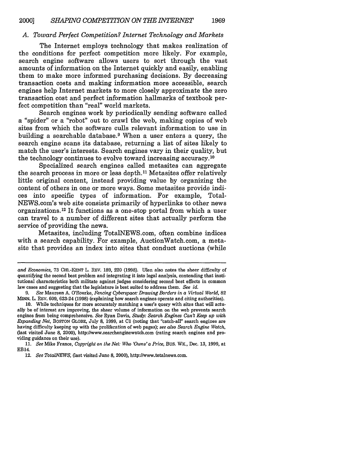# *A. Toward Perfect Competition? Internet Technology and Markets*

The Internet employs technology that makes realization of the conditions for perfect competition more likely. For example, search engine software allows users to sort through the vast amounts of information on the Internet quickly and easily, enabling them to make more informed purchasing decisions. By decreasing transaction costs and making information more accessible, search engines help Internet markets to more closely approximate the zero transaction cost and perfect information hallmarks of textbook perfect competition than "real" world markets.

Search engines work by periodically sending software called a "spider" or a "robot" out to crawl the web, making copies of web sites from which the software culls relevant information to use in building a searchable database.<sup>9</sup> When a user enters a query, the search engine scans its database, returning a list of sites likely to match the user's interests. Search engines vary in their quality, but the technology continues to evolve toward increasing accuracy. <sup>10</sup>

Specialized search engines called metasites can aggregate the search process in more or less depth.<sup>11</sup> Metasites offer relatively little original content, instead providing value by organizing the content of others in one or more ways. Some metasites provide indices into specific types of information. For example, Total-NEWS.com's web site consists primarily of hyperlinks to other news organizations.<sup>12</sup> It functions as a one-stop portal from which a user can travel to a number of different sites that actually perform the service of providing the news.

Metasites, including TotalNEWS.com, often combine indices with a search capability. For example, AuctionWatch.com, a metasite that provides an index into sites that conduct auctions (while

11. *See* Mike France, *Copyright on the Net. Who 'Owns'a Price,* BUS. WM, Dec. 13, 1999, at EB14.

*and Economics,* **73** CHI.-KENT L. REV. **189,** 220 **(1998).** Ulen also notes the sheer difficulty of quantifying the second best problem and integrating it into legal analysis, contending that institutional characteristics both militate against judges considering second best effects in common law cases and suggesting that the legislature is best suited to address them. *See id.*

*<sup>9.</sup> See* Maureen A. O'Rourke, *Fencing Cyberspace Drawing Borders in a Virtual World,* 82 MINN. L. REV. 609, 623-24 (1998) (explaining how search engines operate and citing authorities).

<sup>10.</sup> While techniques for more accurately matching a user's query with sites that will actually be of interest are improving, the sheer volume of information on the web prevents search engines from being comprehensive. *See* Ryan Davis, *Study: Search Engines Can't Keep up with Expanding Net,* BOSTON GLOBE, July **8,** 1999, at **C1** (noting that "catch-all" search engines are having difficulty keeping up with the proliferation of web pages); *see also Search Engine Watch,* (last visited June 8, 2000), http://www.searchenginewatch.com (rating search engines and providing guidance on their use).

<sup>12.</sup> *See TotalNEWS,* (last visited June **8,** 2000), http://www.totalnews.com.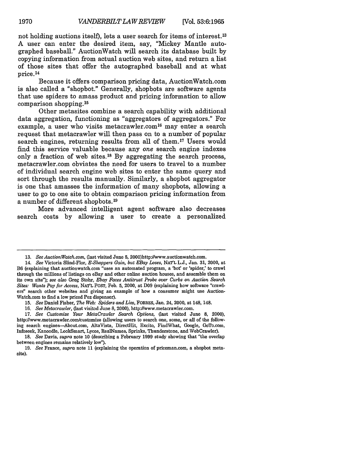not holding auctions itself), lets a user search for items of interest.<sup>13</sup> A user can enter the desired item, say, "Mickey Mantle autographed baseball." AuctionWatch will search its database built by copying information from actual auction web sites, and return a list of those sites that offer the autographed baseball and at what price. <sup>14</sup>

Because it offers comparison pricing data, AuctionWatch.com is also called a "shopbot." Generally, shopbots are software agents that use spiders to amass product and pricing information to allow comparison shopping.<sup>15</sup>

Other metasites combine a search capability with additional data aggregation, functioning as "aggregators of aggregators." For example, a user who visits metacrawler.com<sup>16</sup> may enter a search request that metacrawler will then pass on to a number of popular search engines, returning results from all of them.<sup>17</sup> Users would find this service valuable because any *one* search engine indexes only a fraction of web sites.<sup>18</sup> By aggregating the search process, metacrawler.com obviates the need for users to travel to a number of individual search engine web sites to enter the same query and sort through the results manually. Similarly, a shopbot aggregator is one that amasses the information of many shopbots, allowing a user to go to one site to obtain comparison pricing information from a number of different shopbots. <sup>19</sup>

More advanced intelligent agent software also decreases search costs by allowing a user to create a personalized

- 15. *See* Daniel Fisher, *The Web: Spiders and Lies,* FORBES, Jan. 24, 2000, at 148, 148.
- 16. *See Metacrawler,* (last visited June *8,* 2000), http://www.metacrawler.com.
- 17. *See Customize Your MetaCrawler Search Options,* (last visited June **8,** 2000), http://www.metacrawler.com/customize (allowing users to search one, some, or all of the following search engines--About.com, AltaVista, DirectHit, Excite, FindWhat, Google, GoTo.com, Infoseek, Kanoodle, LookSmart, Lycos, RealNames, Sprinks, Thunderstone, and WebCrawler).

**<sup>13.</sup>** *See AuctionWatch.com,* (last visited June **5,** 2000)http://www.auctionwatch.com.

<sup>14.</sup> *See* Victoria Slind-Flor, *E-Shoppers Gain, but EBay Loses,* NATL L.J., Jan. 31, 2000, at B6 (explaining that auctionwatch.com "uses an automated program, a 'bot' or 'spider,' to crawl through the millions of listings on eBay and other online auction houses, and assemble them on its own site"); *see also* Greg Stohr, *Ebay Faces Antitrust Probe over Curbs on Auction Search Sites: Wants Pay for Access,* NAT'L POST, Feb. 5, 2000, at D09 (explaining how software "crawlers" search other websites and giving an example of how a consumer might use Auction-Watch.com to find a low priced Pez dispenser).

<sup>18.</sup> *See* Davis, *supra* note 10 (describing a February 1999 study showing that "the overlap between engines remains relatively low").

<sup>19.</sup> *See* France, *supra* note 11 (explaining the operation of priceman.com, a shopbot metasite).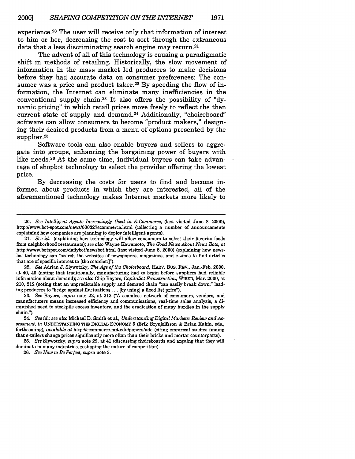experience.<sup>20</sup> The user will receive only that information of interest to him or her, decreasing the cost to sort through the extraneous data that a less discriminating search engine may return.<sup>21</sup>

The advent of all of this technology is causing a paradigmatic shift in methods of retailing. Historically, the slow movement of information in the mass market led producers to make decisions before they had accurate data on consumer preferences: The consumer was a price and product taker.<sup>22</sup> By speeding the flow of information, the Internet can eliminate many inefficiencies in the conventional supply chain.23 It also offers the possibility of "dynamic pricing" in which retail prices move freely to reflect the then current state of supply and demand.<sup>24</sup> Additionally, "choiceboard" software can allow consumers to become "product makers," designing their desired products from a menu of options presented by the supplier.<sup>25</sup>

Software tools can also enable buyers and sellers to aggregate into groups, enhancing the bargaining power of buyers with like needs. 26 At the same time, individual buyers can take advantage of shopbot technology to select the provider offering the lowest price.

By decreasing the costs for users to find and become informed about products in which they are interested, all of the aforementioned technology makes Internet markets more likely to

22. *See* Adrian **J.** Slywotzky, *The Age of the Choiceboard,* HARV. BUS. REV., Jan.-Feb. 2000, at 40, 40 (noting that traditionally, manufacturing had to begin before suppliers had reliable information about demand); *see also* Chip Bayers, *Capitalist Econstruction,* WIRED, Mar. 2000, at 210, 212 (noting that an unpredictable supply and demand chain "can easily break down," leading producers to "hedge against fluctuations . . . [by using] a fixed list price").

23. *See* Bayers, *supra* note 22, at 212 ("A seamless network of consumers, vendors, and manufacturers means increased efficiency and communications, real-time sales analysis, a diminished need to stockpile excess inventory, and the eradication of many hurdles in the supply chain.").

24. *See id.; see also* Michael **D.** Smith et al., *Understanding Digital Markets: Review and Assessment, in* UNDERSTANDING THE DrGITAL ECONOMY **5** (Erik Brynjolfsson **&** Brian Kahin, eds., forthcoming), *available at* http://ecommerce.mit.edu/papers/ude (citing empirical studies finding that e-tailers change prices significantly more often than their bricks and mortar counterparts).

**25.** *See* Slywotzky, *supra* note 22, at 41 (discussing choiceboards and arguing that they will dominato in many industries, reshaping the nature of competition).

26. *See How to Be Perfect, supra* note 3.

<sup>20.</sup> *See Intelligent Agents Increasingly Used in E-Commerce,* (last visited June **8,** 2000), http://www.bot-spot.com/news/000327ecommerce.html (collecting a number of announcements explaining how companies are planning to deploy intelligent agents).

<sup>21.</sup> *See id.* (explaining how technology will allow consumers to select their favorite foods from neighborhood restaurants); *see also* Wayne Kawamoto, *The Good News About News Bots, at* http://www.botspot.com/dailybot/newsbot.html (last visited June 8, 2000) (explaining how newsbot technology can "search the websites of newspapers, magazines, and e-zines to find articles that are of specific interest to [the searcher]").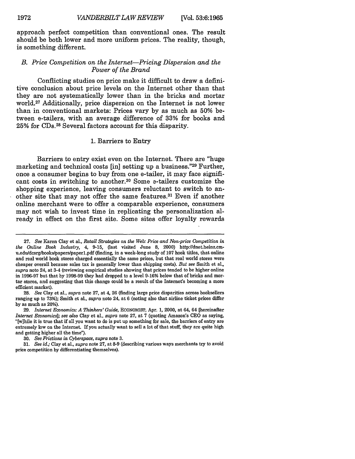approach perfect competition than conventional ones. The result should be both lower and more uniform prices. The reality, though, is something different.

# *B. Price Competition on the Internet-Pricing Dispersion and the Power of the Brand*

Conflicting studies on price make it difficult to draw a definitive conclusion about price levels on the Internet other than that they are not systematically lower than in the bricks and mortar world.27 Additionally, price dispersion on the Internet is not lower than in conventional markets: Prices vary **by** as much as **50%** between e-tailers, with an average difference of **33%** for books and **25%** for CDs. 28 Several factors account for this disparity.

#### **1.** Barriers to Entry

Barriers to entry exist even on the Internet. There are "huge marketing and technical costs [in] setting up a business."29 Further, once a consumer begins to buy from one e-tailer, it may face significant costs in switching to another.30 Some e-tailers customize the shopping experience, leaving consumers reluctant to switch to another site that may not offer the same features.<sup>31</sup> Even if another online merchant were to offer a comparable experience, consumers may not wish to invest time in replicating the personalization already in effect on the first site. Some sites offer loyalty rewards

**<sup>27.</sup>** *See* Karen Clay et al., *Retail Strategies on the Web: Price and Non-price Competition in the Online Book Industry, 4,* **9-15, (last** visited June **8,** 2000) http://dnet.heinz.cmu.edu/dcsrg/books/papers/paperl.pdf (finding, in a week-long study of **107** book titles, that online and real world book stores charged essentially the same prices, but that real world stores were cheaper overall because sales tax is generally lower than shipping costs). *But see* Smith et al., *supra* note 24, at 3-4 (reviewing empirical studies showing that prices tended to be higher online in **1996-97** but that **by 1998-99** they had dropped to a level **9-16%** below that of bricks and mortar stores, and suggesting that this change could be a result of the Internet's becoming a more efficient market).

**<sup>28.</sup>** *See* Clay et **al.,** *supra* note **27,** at 4, **26** (finding large price disparities across booksellers ranging up to **73%);** Smith et aL, *supra* note 24, at **6** (noting also that airline ticket prices differ **by** as much as 20%).

**<sup>29.</sup>** *Internet Economics: A Thinkers' Guide,* **ECONOMIST,** Apr. **1,** 2000, at 64, 64 [hereinafter *Internet Economics]; see also* Clay et **al.,** *supra* note **27,** at **7** (quoting Amazon's **CEO** as saying, "[w]hile it is true that **if** all you want to do is put up something for sale, the barriers of entry are extremely low on the Internet. If you actually want to sell a lot of that stuff, they are quite high and getting higher all the time").

**<sup>30.</sup>** *See Frictions in Cyberspace, supra* note **3.**

**<sup>31.</sup>** *See id.;* Clay et al., *supra* note **27,** at **8-9** (describing various ways merchants try to avoid price competition **by** differentiating themselves).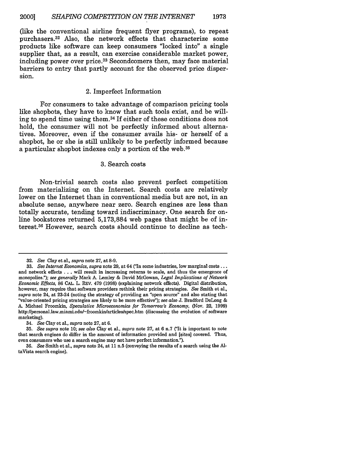(like the conventional airline frequent flyer programs), to repeat purchasers. 32 Also, the network effects that characterize some products like software can keep consumers "locked into" a single supplier that, as a result, can exercise considerable market power, including power over price.33 Secondcomers then, may face material barriers to entry that partly account for the observed price dispersion.

### 2. Imperfect Information

For consumers to take advantage of comparison pricing tools like shopbots, they have to know that such tools exist, and be willing to spend time using them.<sup>34</sup> If either of these conditions does not hold, the consumer will not be perfectly informed about alternatives. Moreover, even if the consumer avails his- or herself of a shopbot, he or she is still unlikely to be perfectly informed because a particular shopbot indexes only a portion of the web. <sup>35</sup>

#### 3. Search costs

Non-trivial search costs also prevent perfect competition from materializing on the Internet. Search costs are relatively lower on the Internet than in conventional media but are not, in an absolute sense, anywhere near zero. Search engines are less than totally accurate, tending toward indiscriminacy. One search for online bookstores returned 5,173,884 web pages that might be of interest.<sup>36</sup> However, search costs should continue to decline as tech-

**<sup>32.</sup>** See Clay et al., *supra* note 27, at 8-9.

**<sup>33.</sup>** *See Internet Economics, supra* note 29, at 64 ('In some industries, low marginal costs **...** and network effects ... will result in increasing returns to scale, and thus the emergence of monopolies."); *see generally* Mark **A.** Lemley & David McGowan, *Legal Implications of Network Economic Effects,* 86 **CAL.** L. REV. 479 (1998) (explaining network effects). Digital distribution, however, may require that software providers rethink their pricing strategies. *See* Smith et al., *supra* note 24, at 23-24 (noting the strategy of providing an "open source" and also stating that "value-oriented pricing strategies are likely to be more effective"); *see also* J. Bradford DeLong & A. Michael Froomkin, *Speculative Microeconomics for Tomorrow's Economy,* (Nov. 22, 1999) http://personal.law.miami.edu/~froomkin/articles/spec.htm (discussing the evolution of software marketing).

<sup>34.</sup> *See* Clay et al., *supra* note 27, at 6.

**<sup>35.</sup>** *See supra* note 10; *see also* Clay et al., *supra* note 27, at 6 n.7 ("It is important to note that search engines do differ in the amount of information provided and [sites] covered. Thus, even consumers who use a search engine may not have perfect information").

<sup>36.</sup> *See* Smith et al., *supra* note 24, at 11 n.5 (conveying the results of a search using the **Al**taVista search engine).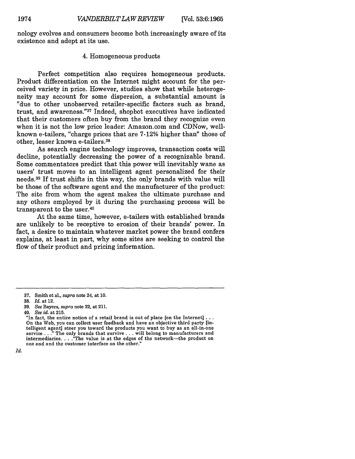nology evolves and consumers become both increasingly aware of its existence and adept at its use.

# 4. Homogeneous products

Perfect competition also requires homogeneous products. Product differentiation on the Internet might account for the perceived variety in price. However, studies show that while heterogeneity may account for some dispersion, a substantial amount is "due to other unobserved retailer-specific factors such as brand, trust, and awareness."37 Indeed, shopbot executives have indicated that their customers often buy from the brand they recognize even when it is not the low price leader: Amazon.com and CDNow, wellknown e-tailers, "charge prices that are 7-12% higher than" those of other, lesser known e-tailers.38

As search engine technology improves, transaction costs will decline, potentially decreasing the power of a recognizable brand. Some commentators predict that this power will inevitably wane as users' trust moves to an intelligent agent personalized for their needs. 39 If trust shifts in this way, the only brands with value will be those of the software agent and the manufacturer of the product: The site from whom the agent makes the ultimate purchase and any others employed by it during the purchasing process will be transparent to the user.40

At the same time, however, e-tailers with established brands are unlikely to be receptive to erosion of their brands' power. In fact, a desire to maintain whatever market power the brand confers explains, at least in part, why some sites are seeking to control the flow of their product and pricing information.

<sup>37.</sup> Smith et al., *supra* note 24, at 10.

<sup>38.</sup> *Id.* at 12.

<sup>39.</sup> *See* Bayers, *supra* note 22, at 211.

<sup>40.</sup> *See id.* at 215.

<sup>&</sup>quot;In fact, the entire notion of a retail brand is out of place [on the Internet]... On the Web, you can collect user feedback and have an objective third party [intelligent agent] steer you toward the products you want to buy as an all-in-one service **. ."** The only brands that survive **...** will belong to manufacturers and intermediaries. . . . "The value is at the edges of the network-the product on one end and the customer interface on the other.'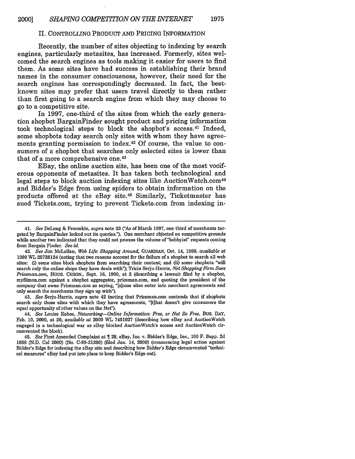#### II. CONTROLLING PRODUCT AND PRICING INFORMATION

Recently, the number of sites objecting to indexing by search engines, particularly metasites, has increased. Formerly, sites welcomed the search engines as tools making it easier for users to find them. As some sites have had success in establishing their brand names in the consumer consciousness, however, their need for the search engines has correspondingly decreased. In fact, the bestknown sites may prefer that users travel directly to them rather than first going to a search engine from which they may choose to go to a competitive site.

In 1997, one-third of the sites from which the early generation shopbot BargainFinder sought product and pricing information took technological steps to block the shopbot's access. 41 Indeed, some shopbots today search only sites with whom they have agreements granting permission to index.42 Of course, the value to consumers of a shopbot that searches only selected sites is lower than that of a more comprehensive one. <sup>43</sup>

EBay, the online auction site, has been one of the most vociferous opponents of metasites. It has taken both technological and legal steps to block auction indexing sites like AuctionWatch.com<sup>44</sup> and Bidder's Edge from using spiders to obtain information on the products offered at the eBay site.45 Similarly, Ticketmaster has sued Tickets.com, trying to prevent Tickets.com from indexing in-

43. *See* Serju-Harris, *supra* note 42 (noting that Priceman.com contends that if shopbots search only those sites with which they have agreements, "[tihat doesn't give consumers the equal opportunity of other values on the Nef').

<sup>41.</sup> *See* DeLong & Froomkin, *supra* note **33** ('As of March **1997,** one third of merchants targeted by BargainFinder locked out its queries."). One merchant objected on competitive grounds while another two indicated that they could not process the volume of "hobbyist" requests coming from Bargain Finder. *See id.*

<sup>42.</sup> *See* Jim McLellan, *Web Life: Shopping Around,* GUARDIAN, Oct. 14, 1999, *available at* **1999** WL 25738124 (noting that two reasons account for the failure of a shopbot to search all web sites: (i) some sites block shopbots from searching their content; and (ii) some shopbots "will search only the online shops they have deals with"); Tricia Serju-Harris, *Net Shopping Firm Sues Priceman.com,* Hous. CHRON., Sept. 16, 1999, at 2 (describing a lawsuit filed by a shopbot, mySimon.com against a shopbot aggregator, priceman.com, and quoting the president of the company that owns Priceman.com as saying, "[s]ome sites enter into merchant agreements and only search the merchants they sign up with").

<sup>44.</sup> *See* Louise Kehoe, *Networking-Online Information: Free, or Not So Free,* BUS. **DAY,** Feb. 10, 2000, at 20, *available at* 2000 WL 7451027 (describing how eBay and AuctionWatch engaged in a technological war as eBay blocked AuctionWatch's access and AuctionWatch circumvented the block).

**<sup>45.</sup>** *See* First Amended Complaint at 28, eBay, Inc. v. Bidder's Edge, Inc., **100** F. Supp. 2d 1058 (N.D. Cal 2000) (No. C-99-21200) (filed Jan. 14, 2000) (commencing legal action against Bidder's Edge for indexing the eBay site and describing how Bidder's Edge circumvented "technical measures" eBay had put into place to keep Bidder's Edge out).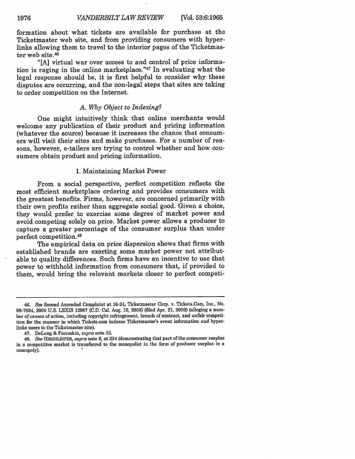formation about what tickets are available for purchase at the Ticketmaster web site, and from providing consumers with hyperlinks allowing them to travel to the interior pages of the Ticketmaster web site.<sup>46</sup>

"[A] virtual war over access to and control of price information is raging in the online marketplace." $47$  In evaluating what the legal response should be, it is first helpful to consider why these disputes are occurring, and the non-legal steps that sites are taking to order competition on the Internet.

#### *A. Why Object to Indexing?*

One might intuitively think that online merchants would welcome any publication of their product and pricing information (whatever the source) because it increases the chance that consumers will visit their sites and make purchases. For a number of reasons, however, e-tailers are trying to control whether and how consumers obtain product and pricing information.

# 1. Maintaining Market Power

From a social perspective, perfect competition reflects the most efficient marketplace ordering and provides consumers with the greatest benefits. Firms, however, are concerned primarily with their own profits rather than aggregate social good. Given a choice, they would prefer to exercise some degree of market power and avoid competing solely on price. Market power allows a producer to capture a greater percentage of the consumer surplus than under perfect competition.4 8

The empirical data on price dispersion shows that firms with established brands are exerting some market power not attributable to quality differences. Such firms have an incentive to use that power to withhold information from consumers that, if provided to them, would bring the relevant markets closer to perfect competi-

<sup>46.</sup> *See* Second Amended Complaint at 16-24, Ticketmaster Corp. v. Tickets.Com, Inc., No. 99-7654, 2000 U.S. LEXIS 12987 (C.D. Cal. Aug. 10, 2000) (filed Apr. 21, 2000) (alleging a number of causes of action, including copyright infringement, breach of contract, and unfair competition for the manner in which Tickets.com indexes Ticketmaster's event information and hyperlinks users to the Ticketmaster site).

<sup>47.</sup> DeLong & Froomkin, *supra* note 33.

<sup>48.</sup> *See* HIRSHLEIFER, *supra* note 8, at 234 (demonstrating that part of the consumer surplus in a competitive market is transferred to the monopolist in the form of producer surplus in a monopoly).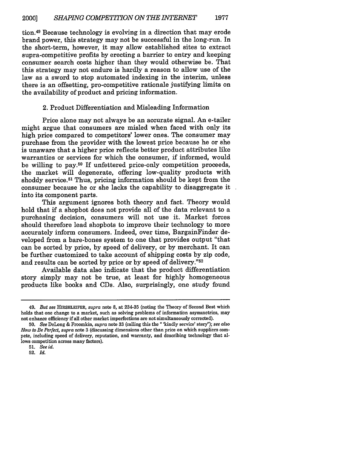tion.49 Because technology is evolving in a direction that may erode brand power, this strategy may not be successful in the long-run. In the short-term, however, it may allow established sites to extract supra-competitive profits by erecting a barrier to entry and keeping consumer search costs higher than they would otherwise be. That this strategy may not endure is hardly a reason to allow use of the law as a sword to stop automated indexing in the interim, unless there is an offsetting, pro-competitive rationale justifying limits on the availability of product and pricing information.

#### 2. Product Differentiation and Misleading Information

Price alone may not always be an accurate signal. An e-tailer might argue that consumers are misled when faced with only its high price compared to competitors' lower ones. The consumer may purchase from the provider with the lowest price because he or she is unaware that a higher price reflects better product attributes like warranties or services for which the consumer, if informed, would be willing to pay.50 If unfettered price-only competition proceeds, the market will degenerate, offering low-quality products with shoddy service.<sup>51</sup> Thus, pricing information should be kept from the consumer because he or she lacks the capability to disaggregate it into its component parts.

This argument ignores both theory and fact. Theory would hold that if a shopbot does not provide all of the data relevant to a purchasing decision, consumers will not use it. Market forces should therefore lead shopbots to improve their technology to more accurately inform consumers. Indeed, over time, BargainFinder developed from a bare-bones system to one that provides output "that can be sorted by price, by speed of delivery, or by merchant. It can be further customized to take account of shipping costs by zip code, and results can be sorted by price or by speed of delivery."52

Available data also indicate that the product differentiation story simply may not be true, at least for highly homogeneous products like books and CDs. Also, surprisingly, one study found

<sup>49.</sup> *But see* **HIRSHLEIFER,** *supra* note **8,** at 234-35 (noting the Theory of Second Best which holds that one change to a market, such as solving problems of information asymmetries, may not enhance efficiency if all other market imperfections are not simultaneously corrected).

**<sup>50.</sup>** *See* DeLong & Froomkin, *supra* note 33 (calling this the " 'kindly service' story"); *see also How to Be Perfect, supra* note 3 (discussing dimensions other than price on which suppliers compete, including speed of delivery, reputation, and warranty, and describing technology that allows competition across many factors).

**<sup>51.</sup>** *See id.* 52. *Id.*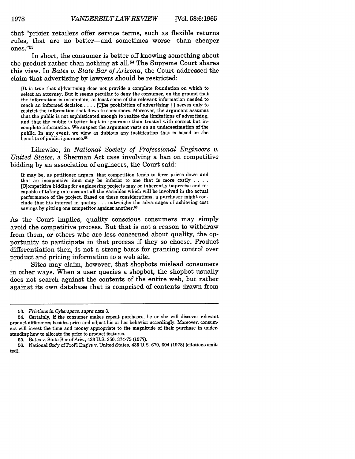that "pricier retailers offer service terms, such as flexible returns rules, that are no better-and sometimes worse-than cheaper ones." $53$ 

In short, the consumer is better off knowing something about the product rather than nothing at all.<sup>54</sup> The Supreme Court shares this view. In *Bates v. State Bar of Arizona,* the Court addressed the claim that advertising **by** lawyers should be restricted:

[It is true that a]dvertising does not provide a complete foundation on which to select an attorney. But it seems peculiar to deny the consumer, on the ground that the information is incomplete, at least some of the relevant information needed to reach an informed decision . . . . [T]he prohibition of advertising [ ] serves only to restrict the information that flows to consumers. Moreover, the argument assumes that the public is not sophisticated enough to realize the limitations of advertising, and that the public is better kept in ignorance than trusted with correct but incomplete information. We suspect the argument rests on an underestimation of the public. In any event, we view as dubious any justification that is based on the benefits of public ignorance.<sup>55</sup>

Likewise, in *National Society of Professional Engineers v. United States,* a Sherman Act case involving a ban on competitive bidding by an association of engineers, the Court said:

It may be, as petitioner argues, that competition tends to force prices down and that an inexpensive item may be inferior to one that is more costly **....** [Competitive bidding for engineering projects may be inherently imprecise and incapable of taking into account all the variables which will be involved in the actual performance of the project. Based on these considerations, a purchaser might conclude that his interest in quality **...** outweighs the advantages of achieving cost savings by pitting one competitor against another.<sup>56</sup>

As the Court implies, quality conscious consumers may simply avoid the competitive process. But that is not a reason to withdraw from them, or others who are less concerned about quality, the opportunity to participate in that process if they so choose. Product differentiation then, is not a strong basis for granting control over product and pricing information to a web site.

Sites may claim, however, that shopbots mislead consumers in other ways. When a user queries a shopbot, the shopbot usually does not search against the contents of the entire web, but rather against its own database that is comprised of contents drawn from

1978

**<sup>53.</sup>** *Frictions in Cyberspace, supra* note 3.

<sup>54.</sup> Certainly, if the consumer makes repeat purchases, he or she will discover relevant product differences besides price and adjust his or her behavior accordingly. Moreover, consumers will invest the time and money appropriate to the magnitude of their purchase in understanding how to allocate the price to product features.

**<sup>55.</sup>** Bates v. State Bar of Ariz., 433 **U.S. 350, 374-75 (1977).**

**<sup>56.</sup>** National Soc'y of Prof **I** Eng'rs v. United States, 435 **U.S. 679,** 694 **(1978)** (citations omitted).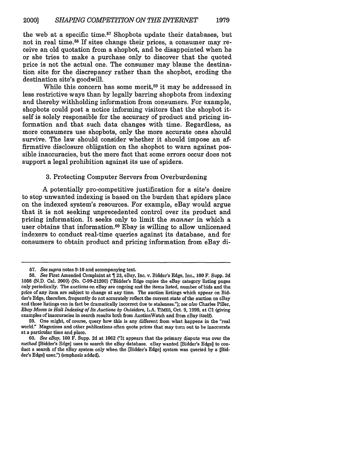the web at a specific time.<sup>57</sup> Shopbots update their databases, but not in real time.58 If sites change their prices, a consumer may receive an old quotation from a shopbot, and be disappointed when he or she tries to make a purchase only to discover that the quoted price is not the actual one. The consumer may blame the destination site for the discrepancy rather than the shopbot, eroding the destination site's goodwill.

While this concern has some merit,<sup>59</sup> it may be addressed in less restrictive ways than by legally barring shopbots from indexing and thereby withholding information from consumers. For example, shopbots could post a notice informing visitors that the shopbot itself is solely responsible for the accuracy of product and pricing information and that such data changes with time. Regardless, as more consumers use shopbots, only the more accurate ones should survive. The law should consider whether it should impose an affirmative disclosure obligation on the shopbot to warn against possible inaccuracies, but the mere fact that some errors occur does not support a legal prohibition against its use of spiders.

### 3. Protecting Computer Servers from Overburdening

A potentially pro-competitive justification for a site's desire to stop unwanted indexing is based on the burden that spiders place on the indexed system's resources. For example, eBay would argue that it is not seeking unprecedented control over its product and pricing information. It seeks only to limit the *manner* in which a user obtains that information.<sup>60</sup> Ebay is willing to allow unlicensed indexers to conduct real-time queries against its database, and for consumers to obtain product and pricing information from eBay di-

**<sup>57.</sup>** *See supra* notes **9-10** and accompanying text.

**<sup>58.</sup>** *See* First Amended Complaint at  $\P$  23, eBay, Inc. v. Bidder's Edge, Inc., 100 F. Supp. 2d 1058 (N.D. Cal. 2000) (No. C-99-21200) ("Bidder's Edge copies the eBay category listing pages only periodically. The auctions on eBay are ongoing and the items listed, number of bids and the price of any item are subject to change at any time. The auction listings which appear on Bidder's Edge, therefore, frequently do not accurately reflect the current state of the auction on eBay and those listings can in fact be dramatically incorrect due to staleness:'); *see also* Charles Piller, *Ebay Moves to Halt Indexing of Its Auctions by Outsiders,* L.A. TIMES, Oct. 9, 1999, at **C1** (giving examples of inaccuracies in search results both from AuctionWatch and from eBay itself).

**<sup>59.</sup>** One might, of course, query how this is any different from what happens in the "real world." Magazines and other publications often quote prices that may turn out to be inaccurate at a particular time and place.

<sup>60.</sup> *See eBay,* 100 F. Supp. 2d at 1062 CIt appears that the primary dispute was over the *method* [Bidder's Edge] uses to search the eBay database. eBay wanted [Bidder's Edge] to conduct a search of the eBay system only when the [Bidder's Edge] system was queried by a [Bidder's Edge] user:') (emphasis added).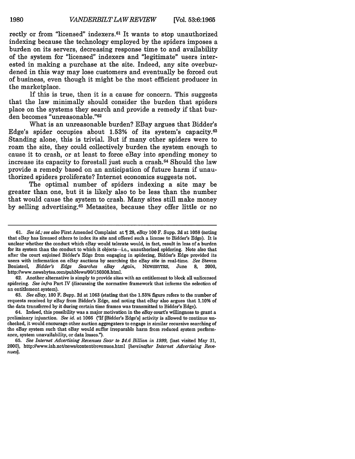rectly or from "licensed" indexers. 61 It wants to stop unauthorized indexing because the technology employed **by** the spiders imposes a burden on its servers, decreasing response time to and availability of the system for "licensed" indexers and "legitimate" users interested in making a purchase at the site. Indeed, any site overburdened in this way may lose customers and eventually be forced out of business, even though it might be the most efficient producer in the marketplace.

If this is true, then it is a cause for concern. This suggests that the law minimally should consider the burden that spiders place on the systems they search and provide a remedy if that burden becomes "unreasonable."<sup>62</sup>

What is an unreasonable burden? EBay argues that Bidder's Edge's spider occupies about **1.53%** of its system's capacity. <sup>63</sup> Standing alone, this is trivial. But if many other spiders were to roam the site, they could collectively burden the system enough to cause it to crash, or at least to force eBay into spending money to increase its capacity to forestall just such a crash.64 Should the law provide a remedy based on an anticipation of future harm if unauthorized spiders proliferate? Internet economics suggests not.

The optimal number of spiders indexing a site may be greater than one, but it is likely also to be less than the number that would cause the system to crash. Many sites still make money **by** selling advertising. 65 Metasites, because they offer little or no

**62.** Another alternative is simply to provide sites with an entitlement to block **all** unlicensed spidering. *See infra* Part **IV** (discussing the normative framework that informs the selection of an entitlement system).

**63.** *See eBay,* **100** F. Supp. **2d** at **1063** (stating that the **1.53%** figure refers to the number of requests received **by** eBay from Bidder's Edge, and noting that eBay also argues that **1.10%** of the data transferred **by** it during certain time frames was transmitted to Bidder's Edge).

64. Indeed, this possibility was a major motivation in the *eBay* court's willingness to grant a preliminary injunction. *See id.* at 1066 ("If [Bidder's Edge's] activity is allowed to continue unchecked, it would encourage other auction aggregators to engage in similar recursive searching of the eBay system such that eBay would suffer irreparable harm from reduced system performance, system unavailability, or data losses.").

**65.** *See Internet Advertising Revenues Soar to \$4.6 Billion in 1999,* **(last** visited May **31,** 2000), http://www.iab.net/news/content/revenues.html *[hereinafter Internet Advertising Revenues].*

**<sup>61.</sup>** *See id.; see also* First Amended Complaint at **28,** *eBay* **100** F. Supp. **2d** at **1058** (noting that eBay has licensed others to index its site and offered such a license to Bidder's Edge). It is unclear whether the conduct which eBay would tolerate would, in fact, result in less of a burden for its system than the conduct to which it objects-i.e., unauthorized spidering. Note also that after the court enjoined Bidder's Edge from engaging in spidering, Bidder's Edge provided its users with information on eBay auctions **by** searching the eBay site in real-time. *See* Steven Bonisteel, *Bidder's Edge Searches eBay Again,* **NEWSBYTES,** June **8,** 2000, http:llwww.newsbytes.com/pubNewsl0O/150308.html.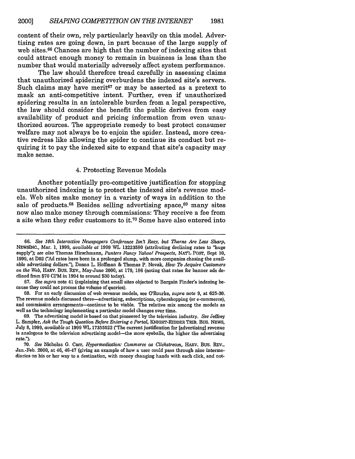content of their own, rely particularly heavily on this model. Advertising rates are going down, in part because of the large supply of web sites.66 Chances are high that the number of indexing sites that could attract enough money to remain in business is less than the number that would materially adversely affect system performance.

The law should therefore tread carefully in assessing claims that unauthorized spidering overburdens the indexed site's servers. Such claims may have merit<sup> $67$ </sup> or may be asserted as a pretext to mask an anti-competitive intent. Further, even if unauthorized spidering results in an intolerable burden from a legal perspective, the law should consider the benefit the public derives from easy availability of product and pricing information from even unauthorized sources. The appropriate remedy to best protect consumer welfare may not always be to enjoin the spider. Instead, more creative redress like allowing the spider to continue its conduct but requiring it to pay the indexed site to expand that site's capacity may make sense.

#### 4. Protecting Revenue Models

Another potentially pro-competitive justification for stopping unauthorized indexing is to protect the indexed site's revenue models. Web sites make money in a variety of ways in addition to the sale of products.<sup>68</sup> Besides selling advertising space, <sup>69</sup> many sites now also make money through commissions: They receive a fee from a site when they refer customers to it.70 Some have also entered into

**<sup>66.</sup>** *See 10th Interactive Newspapers Conference Isn't Rosy, but Thorns Are Less Sharp,* **NEWSINC.,** Mar. **1, 1999,** *available at* **1999 WL 13223580** (attributing declining rates to "huge supply"); *see also* Thomas Hirschmann, *Punters Fancy Yahoo! Prospects,* **NAT'L POST,** Sept **10, 1999,** at **D02 ("Ad** rates have been in a prolonged slump, with more companies chasing the available advertising dollars."), Donna **L.** Hoffman **&** Thomas P. Novak, *How To Acquire Customers on the Web,* HARV. Bus. REv., May-June 2000, at **179, 186** (noting that rates for banner ads declined from **\$70** CPM in 1994 to around **\$30** today).

**<sup>67.</sup>** *See supra* note 41 (explaining that small sites objected to Bargain Finder's indexing because they could not process the volume of queries).

**<sup>68.</sup>** For an early discussion of web revenue models, see O'Rourke, *supra* note **9,** at **625-30.** The revenue models discussed there-advertising, subscriptions, cybershopping (or e-commerce), and commission arrangements--continue to be viable. The relative mix among the models as well as the technology implementing a particular model changes over time.

**<sup>69.</sup>** The advertising model is based on that pioneered **by** the television industry. *See* Jeffrey **L.** Sampler, *Ask the Tough Question Before Entering a Portal,* KNIGHT-RIDDER TRIB. BUS. NEWS, July 8, 1999, *available at* 1999 WL, 17355522 ("The current justification for [advertising] revenue is analogous to the television advertising model—the more eyeballs, the higher the advertising rate.").

**<sup>70.</sup>** *See* Nicholas **G.** Carr, *Hypermediation" Commerce as Clickstream,* HARV. BUS. REV., Jan.-Feb. 2000, at 46, 46-47 (giving an example of how a user could pass through nine intermediaries on his or her way to a destination, with money changing hands with each click, and not-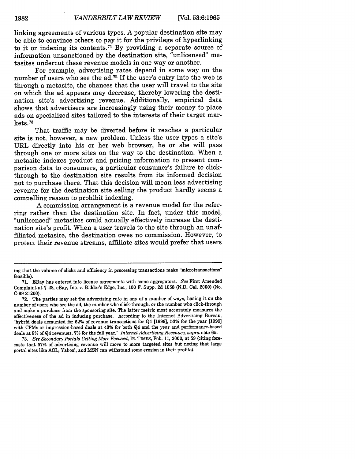linking agreements of various types. A popular destination site may be able to convince others to pay it for the privilege of hyperlinking to it or indexing its contents. 71 By providing a separate source of information unsanctioned by the destination site, "unlicensed" metasites undercut these revenue models in one way or another.

For example, advertising rates depend in some way on the number of users who see the  $ad.72$  If the user's entry into the web is through a metasite, the chances that the user will travel to the site on which the ad appears may decrease, thereby lowering the destination site's advertising revenue. Additionally, empirical data shows that advertisers are increasingly using their money to place ads on specialized sites tailored to the interests of their target markets. <sup>73</sup>

That traffic may be diverted before it reaches a particular site is not, however, a new problem. Unless the user types a site's URL directly into his or her web browser, he or she will pass through one or more sites on the way to the destination. When a metasite indexes product and pricing information to present comparison data to consumers, a particular consumer's failure to clickthrough to the destination site results from its informed decision not to purchase there. That this decision will mean less advertising revenue for the destination site selling the product hardly seems a compelling reason to prohibit indexing.

A commission arrangement is a revenue model for the refer-<br>ring rather than the destination site. In fact, under this model, "unlicensed" metasites could actually effectively increase the destination site's profit. When a user travels to the site through an unaffiliated metasite, the destination owes no commission. However, to protect their revenue streams, affiliate sites would prefer that users

ing that the volume of clicks and efficiency in processing transactions make "microtransactions" feasible).

<sup>71.</sup> EBay has entered into license agreements with some aggregators. *See* First Amended Complaint at **1** 28, eBay, Inc. v. Bidder's Edge, Inc., 100 F. Supp. 2d 1058 (N.D. Cal. 2000) (No. C-99 21200).

<sup>72.</sup> The parties may set the advertising rate in any of a number of ways, basing it on the number of users who see the ad, the number who click-through, or the number who click-through and make a purchase from the sponsoring site. The latter metric most accurately measures the effectiveness of the ad in inducing purchase. According to the Internet Advertising Bureau, "hybrid deals accounted for **52%** of revenue transactions for Q4 [1999], **53%** for the year [1999] with CPMs or impression-based deals at 40% for both Q4 and the year and performance-based deals at **8%** of Q4 revenues, 7% for the full year." *Internet Advertising Revenues, supra* note 65.

<sup>73.</sup> *See Secondary Portals Getting More Focused,* IR. TIMES, Feb. 11, 2000, at 59 (citing forecasts that **57%** of advertising revenue will move to more targeted sites but noting that large portal sites like AOL, Yahoo!, and MSN can withstand some erosion in their profits).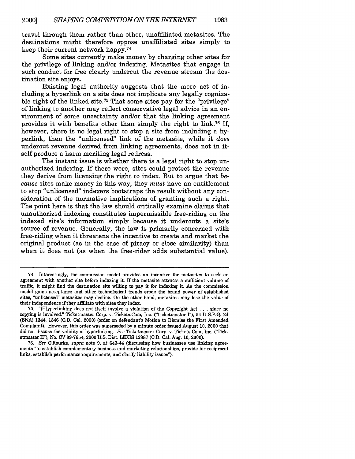travel through them rather than other, unaffiliated metasites. The destinations might therefore oppose unaffiliated sites simply to keep their current network happy.74

Some sites currently make money by charging other sites for the privilege of linking and/or indexing. Metasites that engage in such conduct for free clearly undercut the revenue stream the destination site enjoys.

Existing legal authority suggests that the mere act of including a hyperlink on a site does not implicate any legally cognizable right of the linked site.<sup>75</sup> That some sites pay for the "privilege" of linking to another may reflect conservative legal advice in an environment of some uncertainty and/or that the linking agreement provides it with benefits other than simply the right to **link.76** If, however, there is no legal right to stop a site from including a hyperlink, then the "unlicensed" link of the metasite, while it *does* undercut revenue derived from linking agreements, does not in itself produce a harm meriting legal redress.

The instant issue is whether there is a legal right to stop unauthorized indexing. If there were, sites could protect the revenue they derive from licensing the right to index. But to argue that because sites make money in this way, they *must* have an entitlement to stop "unlicensed" indexers bootstraps the result without any consideration of the normative implications of granting such a right. The point here is that the law should critically examine claims that unauthorized indexing constitutes impermissible free-riding on the indexed site's information simply because it undercuts a site's source of revenue. Generally, the law is primarily concerned with free-riding when it threatens the incentive to create and market the original product (as in the case of piracy or close similarity) than when it does not (as when the free-rider adds substantial value).

<sup>74.</sup> Interestingly, the commission model provides an incentive for metasites to seek an agreement with another site before indexing it. If the metasite attracts a sufficient volume of traffic, it might find the destination site willing to pay it for indexing it. As the commission model gains acceptance and other technological trends erode the brand power of established sites, "unlicensed" metasites may decline. On the other hand, metasites may lose the value of their independence if they affiliate with sites they index.

<sup>75. &</sup>quot;[H]yperlinking does not itself involve a violation of the Copyright Act . . . since no copying is involved." Ticketmaster Corp. v. Tickets.Com, Inc. ("Ticketmaster I"), 54 U.S.P.Q. 2d (BNA) 1344, 1346 (C.D. Cal. 2000) (order on defendant's Motion to Dismiss the First Amended Complaint). However, this order was superseded by a minute order issued August 10, 2000 that did not discuss the validity of hyperlinking. *See* Ticketmaster Corp. v. Tickets.Com, Inc. ('Ticketmaster II'), No. CV 99-7654, 2000 U.S. Dist. LEXIS 12987 (C.D. Cal. Aug. 10, 2000).

<sup>76.</sup> *See* O'Rourke, *supra* note 9, at 643-44 (discussing how businesses use linking agreements "to establish complementary business and marketing relationships, provide for reciprocal links, establish performance requirements, and clarify liability issues").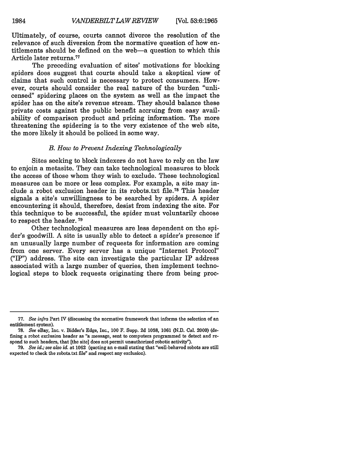Ultimately, of course, courts cannot divorce the resolution of the relevance of such diversion from the normative question of how entitlements should be defined on the web-a question to which this Article later returns. <sup>77</sup>

The preceding evaluation of sites' motivations for blocking spiders does suggest that courts should take a skeptical view of claims that such control is necessary to protect consumers. However, courts should consider the real nature of the burden "unlicensed" spidering places on the system as well as the impact the spider has on the site's revenue stream. They should balance these private costs against the public benefit accruing from easy availability of comparison product and pricing information. The more threatening the spidering is to the very existence of the web site, the more likely it should be policed in some way.

#### *B. How to Prevent Indexing Technologically*

Sites seeking to block indexers do not have to rely on the law to enjoin a metasite. They can take technological measures to block the access of those whom they wish to exclude. These technological measures can be more or less complex. For example, a site may include a robot exclusion header in its robots.txt file.78 This header signals a site's unwillingness to be searched by spiders. A spider encountering it should, therefore, desist from indexing the site. For this technique to be successful, the spider must voluntarily choose to respect the header. **<sup>79</sup>**

Other technological measures are less dependent on the spider's goodwill. A site is usually able to detect a spider's presence if an unusually large number of requests for information are coming from one server. Every server has a unique "Internet Protocol" ("IP") address. The site can investigate the particular IP address associated with a large number of queries, then implement technological steps to block requests originating there from being proc-

**<sup>77.</sup>** *See infra* Part IV (discussing the normative framework that informs the selection of an entitlement system).

<sup>78.</sup> *See* eBay, Inc. v. Bidder's Edge, Inc., **100** F. Supp. 2d 1058, 1061 (N.D. Cal. 2000) (defining a robot exclusion header as "a message, sent to computers programmed to detect and respond to such headers, that [the site] does not permit unauthorized robotic activity").

<sup>79.</sup> *See id.; see also id.* at 1062 (quoting an e-mail stating that "well-behaved robots are still expected to check the robots.txt file" and respect any exclusion).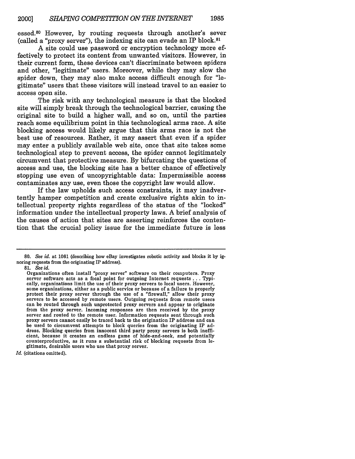essed.80 However, by routing requests through another's sever (called a "proxy server"), the indexing site can evade an IP block.<sup>81</sup>

A site could use password or encryption technology more effectively to protect its content from unwanted visitors. However, in their current form, these devices can't discriminate between spiders and other, "legitimate" users. Moreover, while they may slow the spider down, they may also make access difficult enough for "legitimate" users that these visitors will instead travel to an easier to access open site.

The risk with any technological measure is that the blocked site will simply break through the technological barrier, causing the original site to build a higher wall, and so on, until the parties reach some equilibrium point in this technological arms race. A site blocking access would likely argue that this arms race is not the best use of resources. Rather, it may assert that even if a spider may enter a publicly available web site, once that site takes some technological step to prevent access, the spider cannot legitimately circumvent that protective measure. By bifurcating the questions of access and use, the blocking site has a better chance of effectively stopping use even of uncopyrightable data: Impermissible access contaminates any use, even those the copyright law would allow.

If the law upholds such access constraints, it may inadvertently hamper competition and create exclusive rights akin to intellectual property rights regardless of the status of the "locked" information under the intellectual property laws. A brief analysis of the causes of action that sites are asserting reinforces the contention that the crucial policy issue for the immediate future is less

81. *See id.*

*Id.* (citations omitted).

<sup>80.</sup> See *id.* at 1061 (describing how eBay investigates robotic activity and blocks it by ignoring requests from the originating IP address).

Organizations often install "proxy server" software on their computers. Proxy server software acts as a focal point for outgoing Internet requests ... Typically, organizations limit the use of their proxy servers to local users. However, some organizations, either as a public service or because of a failure to properly protect their proxy server through the use of a "firewall," allow their proxy servers to be accessed by remote users. Outgoing requests from remote users can be routed through such unprotected proxy servers and appear to originate from the proxy server. Incoming responses are then received by the proxy server and routed to the remote user. Information requests sent through such proxy servers cannot easily be traced back to the origination IP address and can be used to circumvent attempts to block queries from the originating IP address. Blocking queries from innocent third party proxy servers is both inefficient, because it creates an endless game of hide-and-seek, and potentially counterproductive, as it runs a substantial risk of blocking requests from legitimate, desirable users who use that proxy server.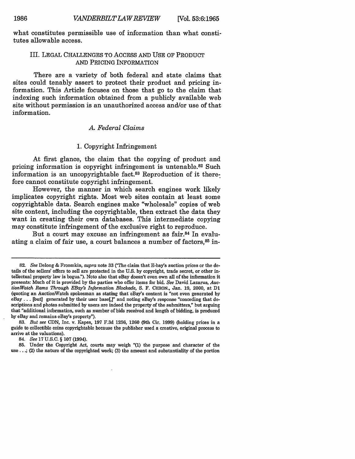what constitutes permissible use of information than what constitutes allowable access.

# III. **LEGAL CHALLENGES** TO ACCESS **AND USE** OF PRODUCT **AND** PRICING INFORMATION

There are a variety of both federal and state claims that sites could tenably assert to protect their product and pricing information. This Article focuses on those that go to the claim that indexing such information obtained from a publicly available web site without permission is an unauthorized access and/or use of that information.

# *A. Federal Claims*

#### **1.** Copyright Infringement

At first glance, the claim that the copying of product and pricing information is copyright infringement is untenable.<sup>82</sup> Such information is an uncopyrightable fact.<sup>83</sup> Reproduction of it therefore cannot constitute copyright infringement.

However, the manner in which search engines work likely implicates copyright rights. Most web sites contain at least some copyrightable data. Search engines make "wholesale" copies of web site content, including the copyrightable, then extract the data they want in creating their own databases. This intermediate copying may constitute infringement of the exclusive right to reproduce.

But a court may excuse an infringement as fair.<sup>84</sup> In evaluating a claim of fair use, a court balances a number of factors, <sup>85</sup> in-

**83.** *But see* **CDN,** Inc. v. Kapes, **197 F.3d 1256, 1260** (9th Cir. **1999)** (holding prices in a guide to collectible coins copyrightable because the publisher used a creative, original process to arrive at the valuations).

84. *See* **17 U.S.C. § 107** (1994).

**85.** Under the Copyright Act, courts may weigh **"(1)** the purpose and character of the **use...;** (2) the nature of the copyrighted work; **(3)** the amount and substantiality of the portion

**<sup>82.</sup>** *See* Delong **&** Froomkin, *supra* note **33** C(The claim that E-bay's auction prices or the details of the sellers' offers to sell are protected in the **U.S. by** copyright, trade secret, or other intellectual property law is bogus."). Note also that eBay doesn't even own all of the information it presents: Much of it is provided **by** the parties who offer items for bid. *See* David Lazarus, *AuctionWatch Rams Through EBay's Information Blockade,* **S.** F. CHRON., Jan. **19,** 2000, at **D1** (quoting an AuctionWatch spokesman as stating that eBay's content is "not even generated **by** eBay . . . [but] generated by their user base[,]" and noting eBay's response "conceding that descriptions and photos submitted **by** users are indeed the property of the submitters," but arguing that "additional information, such as number of bids received and length of bidding, is produced **by** eBay and remains eBay's property").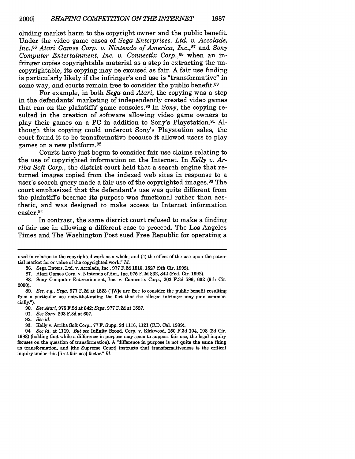cluding market harm to the copyright owner and the public benefit. Under the video game cases of *Sega Enterprises. Ltd. v. Accolade, Inc.,8 6 Atari Games Corp. v. Nintendo of America, Inc.,8 <sup>7</sup>*and *Sony Computer Entertainment, Inc. v. Connectix Corp.,*<sup>88</sup> when an infringer copies copyrightable material as a step in extracting the uncopyrightable, its copying may be excused as fair. A fair use finding is particularly likely if the infringer's end use is "transformative" in some way, and courts remain free to consider the public benefit.<sup>89</sup>

For example, in both *Sega* and *Atari,* the copying was a step in the defendants' marketing of independently created video games that ran on the plaintiffs' game consoles. 90 In *Sony,* the copying resulted in the creation of software allowing video game owners to play their games on a PC in addition to Sony's Playstation.91 Although this copying could undercut Sony's Playstation sales, the court found it to be transformative because it allowed users to play games on a new platform. <sup>92</sup>

Courts have just begun to consider fair use claims relating to the use of copyrighted information on the Internet. In *Kelly v. Arriba Soft Corp.,* the district court held that a search engine that returned images copied from the indexed web sites in response to a user's search query made a fair use of the copyrighted images.<sup>93</sup> The court emphasized that the defendant's use was quite different from the plaintiffs because its purpose was functional rather than aesthetic, and was designed to make access to Internet information easier. <sup>94</sup>

In contrast, the same district court refused to make a finding of fair use in allowing a different case to proceed. The Los Angeles Times and The Washington Post sued Free Republic for operating a

91. *See Sony,* 203 F.3d at 607.

used in relation to the copyrighted work as a whole; and (4) the effect of the use upon the potential market for or value of the copyrighted work" *Id.*

**<sup>86.</sup>** Sega Enters. Ltd. v. Accolade, Inc., 977 F.2d 1510, 1527 (9th Cir. 1992).

**<sup>87.</sup>** Atari Games Corp. v. Nintendo of Am., Inc, 975 F.2d 832, 842 (Fed. Cir. 1992).

**<sup>88.</sup>** Sony Computer Entertainment, Inc. v. Connectix Corp., 203 F.3d 596, 602 (9th Cir. 2000).

<sup>89.</sup> *See, e.g., Sega,* 977 F.2d at 1523 ('[W]e are free to consider the public benefit resulting from a particular use notwithstanding the fact that the alleged infringer may gain commercially.").

**<sup>90.</sup>** *See Atari,* **975** F.2d at 842; *Sega,* 977 F.2d at 1527.

<sup>92.</sup> *See id.*

<sup>93.</sup> Kelly v. Arriba Soft Corp., 77 F. Supp. 2d 1116, 1121 (C.D. Cal. 1999).

<sup>94.</sup> *See id.* at 1119. *But see* Infinity Broad. Corp. v. Kirkwood, 150 F.3d 104, 108 (2d Cir. 1998) (holding that while a difference in purpose may seem to support fair use, the legal inquiry focuses on the question of transformation). A "difference in purpose is not quite the same thing as transformation, and [the Supreme Court] instructs that transformativeness is the critical inquiry under this [first fair use] factor." *Id.*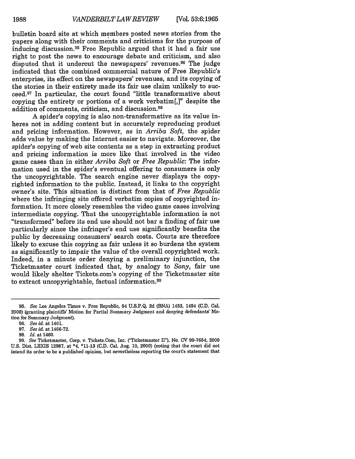bulletin board site at which members posted news stories from the papers along with their comments and criticisms for the purpose of inducing discussion.95 Free Republic argued that it had a fair use right to post the news to encourage debate and criticism, and also disputed that it undercut the newspapers' revenues.<sup>96</sup> The judge indicated that the combined commercial nature of Free Republic's enterprise, its effect on the newspapers' revenues, and its copying of the stories in their entirety made its fair use claim unlikely to succeed.97 In particular, the court found "little transformative about copying the entirety or portions of a work verbatim[,]" despite the addition of comments, criticism, and discussion. <sup>98</sup>

A spider's copying is also non-transformative as its value inheres not in adding content but in accurately reproducing product and pricing information. However, as in *Arriba Soft,* the spider adds value by making the Internet easier to navigate. Moreover, the spider's copying of web site contents as a step in extracting product and pricing information is more like that involved in the video game cases than in either *Arriba Soft* or *Free Republic:* The information used in the spider's eventual offering to consumers is only the uncopyrightable. The search engine never displays the copyrighted information to the public. Instead, it links to the copyright owner's site. This situation is distinct from that of *Free Republic* where the infringing site offered verbatim copies of copyrighted information. It more closely resembles the video game cases involving intermediate copying. That the uncopyrightable information is not "transformed" before its end use should not bar a finding of fair use particularly since the infringer's end use significantly benefits the public by decreasing consumers' search costs. Courts are therefore likely to excuse this copying as fair unless it so burdens the system as significantly to impair the value of the overall copyrighted work. Indeed, in a minute order denying a preliminary injunction, the Ticketmaster court indicated that, by analogy to *Sony,* fair use would likely shelter Tickets.com's copying of the Ticketmaster site to extract uncopyrightable, factual information.99

**<sup>95.</sup>** *See* Los Angeles Times v. Free Republic, 54 **U.S.P.Q.** 2d (BNA) 1453, 1454 **(C.D.** Cal. 2000) (granting plaintiffs' Motion for Partial Summary Judgment and denying defendants' Motion for Summary Judgment).

<sup>96.</sup> *See id.* at 1461.

<sup>97.</sup> *See id.* at 1466-72.

<sup>98.</sup> *Id.* at 1460.

**<sup>99.</sup>** *See* Ticketmaster, Corp. v. Tickets.Com, Inc. ("Ticketmaster II"), No. **CV** 99-7654, 2000 U.S. Dist. LEXIS 12987, at \*4, **\*11-13** (C.D. Cal. Aug. 10, 2000) (noting that the court did not intend its order to be a published opinion, but nevertheless reporting the courts statement that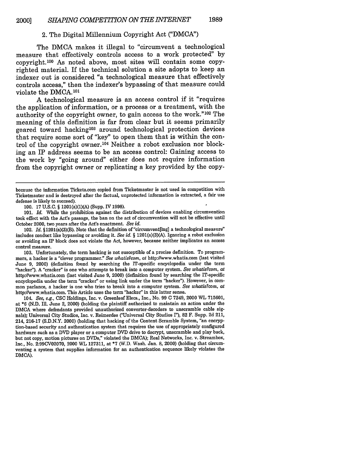# 2. The Digital Millennium Copyright Act ("DMCA")

The DMCA makes it illegal to "circumvent a technological measure that effectively controls access to a work protected" by copyright. 100 As noted above, most sites will contain some copyrighted material. If the technical solution a site adopts to keep an indexer out is considered "a technological measure that effectively controls access," then the indexer's bypassing of that measure could violate the DMCA.<sup>101</sup>

A technological measure is an access control if it "requires the application of information, or a process or a treatment, with the authority of the copyright owner, to gain access to the work."<sup>102</sup> The meaning of this definition is far from clear but it seems primarily geared toward hacking<sup>103</sup> around technological protection devices that require some sort of "key" to open them that is within the control of the copyright owner.<sup>104</sup> Neither a robot exclusion nor blocking an IP address seems to be an access control: Gaining access to the work by "going around" either does not require information from the copyright owner or replicating a key provided by the copy-

**101.** *Id.* While the prohibition against the distribution of devices enabling circumvention took effect with the Act's passage, the ban on the act of circumvention will not be effective until October 2000, two years after the Act's enactment. See id.

102. *Id.* §1201(a)(3)(B). Note that the definition of "circumvent[ing] a technological measure" includes conduct like bypassing or avoiding it. *See id. §* 1201(a)(3)(A). Ignoring a robot exclusion or avoiding an **IP** block does not violate the Act, however, because neither implicates an access control measure.

**103.** Unfortunately, the term hacking is not susceptible of a precise definition. To programmers, a hacker is a "clever programmer." *See whatis?com, at* http://www.whatis.com (last visited June **9,** 2000) (definition found **by** searching the IT-specific encyclopedia under the term "hacker"). A "cracker" is one who attempts to break into a computer system. *See whatis?cont, at* http://www.whatis.com (last visited June **9,** 2000) (definition found **by** searching the IT-specific encyclopedia under the term "cracker" or using link under the term "hacker"). However, in common parlance, a hacker is one who tries to break into a computer system. *See whatis?com, at* http://www.whatis.com. This Article uses the term "hacker" in this latter sense.

104. *See, e.g.,* **CSC** Holdings, Inc. v. Greenleaf Elecs., Inc., No. **99 C** 7249, 2000 WL **715601,** at **\*6 (N.D. Ill.** June 2, 2000) (holding the plaintiff authorized to maintain an action under the **DMCA** where defendants provided unauthorized converter-decoders to unscramble cable signals); Universal City Studios, Inc. v. Reimerdes ("Universal City Studios r'), **82** F. Supp. **2d** 211, 214, **216-17 (S.D.N.Y.** 2000) (holding that hacking of the Content Scramble System, "an encryption-based security and authentication system that requires the use of appropriately configured hardware such as a DVD player or a computer DVD drive to decrypt, unscramble and play back, but not copy, motion pictures on DVDs," violated the **DMCA);** Real Networks, Inc. v. Streambox, Inc., No. **2:99CV02070,** 2000 WL **127311,** at **\*7** (W.D. Wash. Jan. **8,** 2000) (holding that circumventing a system that supplies information for an authentication sequence likely violates the DMCA).

because the information Tickets.com copied from Ticketmaster is not used in competition with Ticketmaster and is destroyed after the factual, unprotected information is extracted, a fair use defense is likely to succeed).

<sup>100.</sup> **17** U.S.C. § 1201(a)(1)(A) (Supp. IV 1998).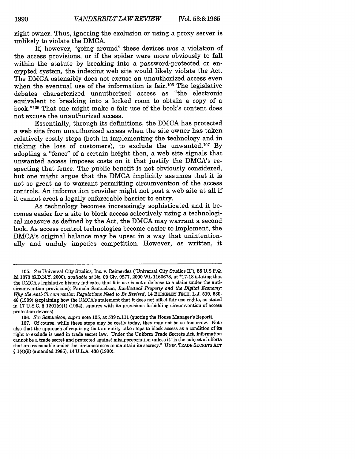right owner. Thus, ignoring the exclusion or using a proxy server is unlikely to violate the DMCA.

If, however, "going around" these devices was a violation of the access provisions, or if the spider were more obviously to fall within the statute by breaking into a password-protected or encrypted system, the indexing web site would likely violate the Act. The DMCA ostensibly does not excuse an unauthorized access even when the eventual use of the information is fair.<sup>105</sup> The legislative debates characterized unauthorized access as "the electronic equivalent to breaking into a locked room to obtain a copy of a book."<sup>106</sup> That one might make a fair use of the book's content does not excuse the unauthorized access.

Essentially, through its definitions, the DMCA has protected a web site from unauthorized access when the site owner has taken relatively costly steps (both in implementing the technology and in risking the loss of customers), to exclude the unwanted. 107 By adopting a "fence" of a certain height then, a web site signals that unwanted access imposes costs on it that justify the DMCA's respecting that fence. The public benefit is not obviously considered, but one might argue that the DMCA implicitly assumes that it is not so great as to warrant permitting circumvention of the access controls. An information provider might not post a web site at all if it cannot erect a legally enforceable barrier to entry.

As technology becomes increasingly sophisticated and it becomes easier for a site to block access selectively using a technological measure as defined by the Act, the DMCA may warrant a second look. As access control technologies become easier to implement, the DMCA's original balance may be upset in a way that unintentionally and unduly impedes competition. However, as written, it

<sup>105.</sup> *See* Universal City Studios, Inc. v. Reimerdes ("Universal City Studios Ir), 55 U.S.P.Q. 2d 1873 (S.D.N.Y. 2000), *available at* No. 00 Civ. 0277, 2000 WL 1160678, at **\*17-18** (stating that the DMCA's legislative history indicates that fair use is not a defense to a claim under the anticircumvention provisions); Pamela Samuelson, *Intellectual Property and the Digital Economy:* **Wh** *tlie Anti-Circumvention Regulations Need to Be Revised,* 14 BERKELEY TECH. L.J. 519, **539-** 46(1999) (explaining how the DMCA's statement that it does not affect fair use rights, as stated in 17 U.S.C. § 1201(c)(1) (1994), squares with its provisions forbidding circumvention of access protection devices).

<sup>106.</sup> *See Samuelson, supra* note 105, at 539 n.111 (quoting the House Manager's Report).

<sup>107.</sup> Of course, while these steps may be costly today, they may not be so tomorrow. Note also that the approach of requiring that an entity take steps to block access as a condition of its right to exclude is used in trade secret law. Under the Uniform Trade Secrets Act, information cannot be a trade secret and protected against misappropriation unless it "is the subject of efforts that are reasonable under the circumstances to maintain its secrecy." UNIF. TRADE SECRETS ACT § 1(4)(ii) (amended 1985), 14 U.L.A. 438 (1990).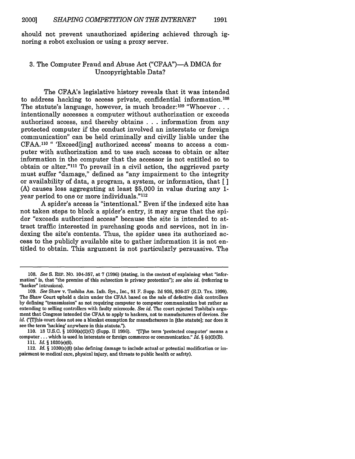should not prevent unauthorized spidering achieved through ignoring a robot exclusion or using a proxy server.

# 3. The Computer Fraud and Abuse Act ("CFAA")-A DMCA for Uncopyrightable Data?

The CFAA's legislative history reveals that it was intended to address hacking to access private, confidential information.108 The statute's language, however, is much broader:<sup>109</sup> "Whoever... intentionally accesses a computer without authorization or exceeds authorized access, and thereby obtains . ..information from any protected computer if the conduct involved an interstate or foreign communication" can be held criminally and civilly liable under the CFAA.<sup>110</sup> " 'Exceed[ing] authorized access' means to access a computer with authorization and to use such access to obtain or alter information in the computer that the accessor is not entitled so to obtain or alter."<sup>111</sup> To prevail in a civil action, the aggrieved party must suffer "damage," defined as "any impairment to the integrity or availability of data, a program, a system, or information, that [ **]** (A) causes loss aggregating at least \$5,000 in value during any 1 year period to one or more individuals."<sup>112</sup>

A spider's access is "intentional." Even if the indexed site has not taken steps to block a spider's entry, it may argue that the spider "exceeds authorized access" because the site is intended to attract traffic interested in purchasing goods and services, not in indexing the site's contents. Thus, the spider uses its authorized access to the publicly available site to gather information it is not entitled to obtain. This argument is not particularly persuasive. The

**<sup>108.</sup>** *See* **S.** REP. No. **104-357,** at **7** (1996) (stating, in the context of explaining what "information" is, that "the premise of this subsection is privacy protection"); *see also id.* (referring to "hacker" intrusions).

<sup>109.</sup> *See* Shaw v. Toshiba Am. Info. Sys., Inc., 91 F. Supp. 2d 926, 936-37 (E.D. Tex. 1999). The Shaw Court upheld a claim under the CFAA based on the sale of defective disk controllers by defining "transmission" as not requiring computer to computer communication but rather as extending to selling controllers with faulty microcode. *See id.* The court rejected Toshiba's argument that Congress intended the CFAA to apply to hackers, not to manufacturers of devices. *See id.* ("[T]his court does not see a blanket exemption for manufacturers in [the statute]; nor does it see the term 'hacking' anywhere in this statute.").

<sup>110. 18</sup> U.S.C.  $\S$  1030(a)(2)(C) (Supp. II 1996). "[T]he term 'protected computer' means a computer.., which is used in interstate or foreign commerce or communication." *Id. §* (e)(2)(B). **111.** *Id. §* 1030(e)(6).

<sup>112.</sup> *Id. §* 1030(e)(8) (also defining damage to include actual or potential modification or impairment to medical care, physical injury, and threats to public health or safety).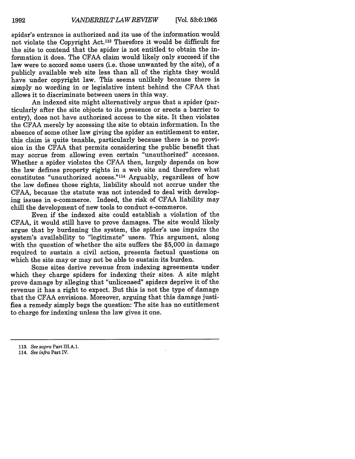spider's entrance is authorized and its use of the information would not violate the Copyright Act.113 Therefore it would be difficult for the site to contend that the spider is not entitled to obtain the information it does. The CFAA claim would likely only succeed if the law were to accord some users (i.e. those unwanted by the site), of a publicly available web site less than all of the rights they would have under copyright law. This seems unlikely because there is simply no wording in or legislative intent behind the CFAA that allows it to discriminate between users in this way.

An indexed site might alternatively argue that a spider (particularly after the site objects to its presence or erects a barrier to entry), does not have authorized access to the site. It then violates the CFAA merely by accessing the site to obtain information. In the absence of some other law giving the spider an entitlement to enter, this claim is quite tenable, particularly because there is no provision in the CFAA that permits considering the public benefit that may accrue from allowing even certain "unauthorized" accesses. Whether a spider violates the CFAA then, largely depends on how the law defines property rights in a web site and therefore what constitutes "unauthorized access."<sup>114</sup> Arguably, regardless of how the law defines those rights, liability should not accrue under the CFAA, because the statute was not intended to deal with developing issues in e-commerce. Indeed, the risk of CFAA liability may chill the development of new tools to conduct e-commerce.

Even if the indexed site could establish a violation of the CFAA, it would still have to prove damages. The site would likely argue that by burdening the system, the spider's use impairs the system's availability to "legitimate" users. This argument, along with the question of whether the site suffers the \$5,000 in damage required to sustain a civil action, presents factual questions on which the site may or may not be able to sustain its burden.

Some sites derive revenue from indexing agreements under which they charge spiders for indexing their sites. A site might prove damage by alleging that "unlicensed" spiders deprive it of the revenue it has a right to expect. But this is not the type of damage that the CFAA envisions. Moreover, arguing that this damage justifies a remedy simply begs the question: The site has no entitlement to charge for indexing unless the law gives it one.

**<sup>113.</sup>** *See supra* Part **III.A.1.**

<sup>114.</sup> *See infra* Part IV.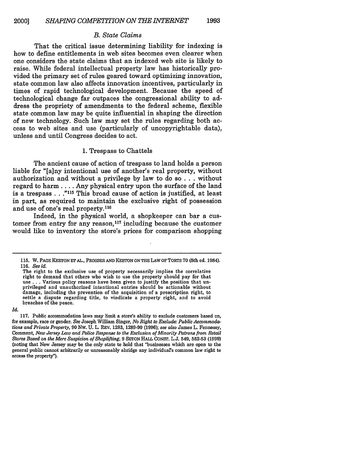#### *B. State Claims*

That the critical issue determining liability for indexing is how to define entitlements in web sites becomes even clearer when one considers the state claims that an indexed web site is likely to raise. While federal intellectual property law has historically provided the primary set of rules geared toward optimizing innovation, state common law also affects innovation incentives, particularly in times of rapid technological development. Because the speed of technological change far outpaces the congressional ability to address the propriety of amendments to the federal scheme, flexible state common law may be quite influential in shaping the direction of new technology. Such law may set the rules regarding both access to web sites and use (particularly of uncopyrightable data), unless and until Congress decides to act.

#### 1. Trespass to Chattels

The ancient cause of action of trespass to land holds a person liable for "[a]ny intentional use of another's real property, without authorization and without a privilege by law to do so . . . without regard to harm .... Any physical entry upon the surface of the land is a trespass **. . .115** This broad cause of action is justified, at least in part, as required to maintain the exclusive right of possession and use of one's real property. <sup>116</sup>

Indeed, in the physical world, a shopkeeper can bar a customer from entry for any reason, 117 including because the customer would like to inventory the store's prices for comparison shopping

*Id.*

**<sup>115.</sup>** W. **PAGE** KEETON **ET** AL., PROSSER **AND KEETON ON THE LAW** OF TORTS **70** (5th ed. 1984). **116.** *See id.*

The right to the exclusive use of property necessarily implies the correlative right to demand that others who wish to use the property should pay for that use **. . .** Various policy reasons have been given to justify the position that unprivileged and unauthorized intentional entries should be actionable without damage, including the prevention of the acquisition of a prescription right, to settle a dispute regarding title, to vindicate a property right, and to avoid breaches of the peace.

**<sup>117.</sup>** Public accommodation laws may limit a store's ability to exclude customers based on, for example, race or gender. *See* Joseph William Singer, *No Right to Exclude: Public Accommodations and Private Property,* 90 NW. U. L. REV. 1283, 1289-90 (1996); *see also* James L. Fennessy, Comment, *New Jersey Law and Police Response to the Exclusion of Minority Patrons from Retail Stores Based on the Mere Suspicion of Shoplifting,* 9 SETON HALL CONST. L.J. 549, **552-53** (1999) (noting that New Jersey may be the only state to hold that "businesses which are open to the general public cannot arbitrarily or unreasonably abridge any individual's common law right to access the property").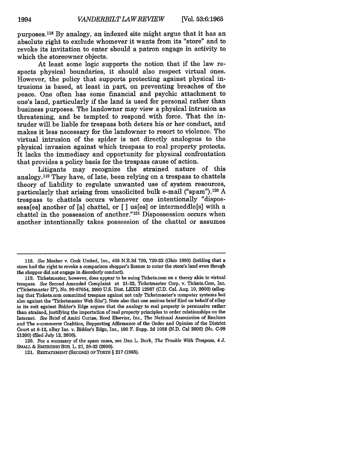purposes. 118 By analogy, an indexed site might argue that it has an absolute right to exclude whomever it wants from its "store" and to revoke its invitation to enter should a patron engage in activity to which the storeowner objects.

At least some logic supports the notion that if the law respects physical boundaries, it should also respect virtual ones. However, the policy that supports protecting against physical intrusions is based, at least in part, on preventing breaches of the peace. One often has some financial and psychic attachment to one's land, particularly if the land is used for personal rather than business purposes. The landowner may view a physical intrusion as threatening, and be tempted to respond with force. That the intruder will be liable for trespass both deters his or her conduct, and makes it less necessary for the landowner to resort to violence. The virtual intrusion of the spider is not directly analogous to the physical invasion against which trespass to real property protects. It lacks the immediacy and opportunity for physical confrontation that provides a policy basis for the trespass cause of action.

Litigants may recognize the strained nature of this analogy.119 They have, of late, been relying on a trespass to chattels theory of liability to regulate unwanted use of system resources, particularly that arising from unsolicited bulk e-mail ("spam"). 120 A trespass to chattels occurs whenever one intentionally "dispossess[es] another of [a] chattel, or [ **]** us[es] or intermeddle[s] with a chattel in the possession of another."<sup>121</sup> Dispossession occurs when another intentionally takes possession of the chattel or assumes

120. For a summary of the spam cases, see Dan L. Burk, *The Trouble With Trespass*, 4 J. SMALL & EMERGING Bus. L. 27, 28-32 (2000).

<sup>118.</sup> *See* Mosher v. Cook United, Inc., 405 N.E.2d 720, 720-22 (Ohio 1980) (holding that a store had the right to revoke a comparison shopper's license to enter the store's land even though the shopper did not engage in disorderly conduct).

<sup>119.</sup> Ticketmaster, however, does appear to be suing Tickets.com on a theory akin to virtual trespass. *See* Second Amended Complaint at 21-22, Ticketmaster Corp. v. Tickets.Com, Inc. C'Ticketmaster II"), No. 99-07654, 2000 U.S. Dist. LEXIS 12987 (C.D. Cal. Aug. 10, 2000) (alleging that Tickets.com committed trespass against not only Ticketmaster's computer systems but also against the "Ticketmaster Web Site"). Note also that one amicus brief filed on behalf of eBay in its suit against Bidder's Edge argues that the analogy to real property is persuasive rather than strained, justifying the importation of real property principles to order relationships on the Internet. *See* Brief of Amici Curiae, Reed Elsevier, Inc., The National Association of Realtors and The e-commerce Coalition, Supporting Affirmance of the Order and Opinion of the District Court at 6-12, eBay Inc. v. Bidder's Edge, Inc., 100 F. Supp. 2d 1058 (N.D. Cal 2000) (No. C-99 21200) (filed July 12, 2000).

<sup>121.</sup> RESTATEMENT (SECOND) OFTORTS § 217 (1965).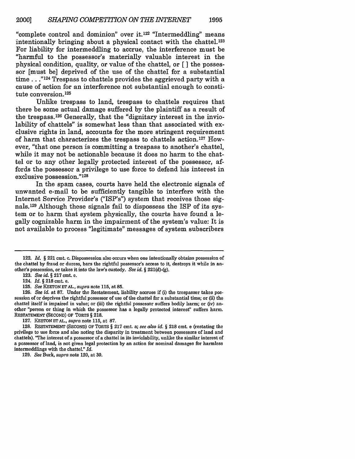"complete control and dominion" over it.122 "Intermeddling" means intentionally bringing about a physical contact with the chattel. <sup>123</sup> For liability for intermeddling to accrue, the interference must be "harmful to the possessor's materially valuable interest in the physical condition, quality, or value of the chattel, or [ ] the possessor [must be] deprived of the use of the chattel for a substantial time..."<sup>124</sup> Trespass to chattels provides the aggrieved party with a cause of action for an interference not substantial enough to constitute conversion. <sup>125</sup>

Unlike trespass to land, trespass to chattels requires that there be some actual damage suffered by the plaintiff as a result of the trespass. 126 Generally, that the "dignitary interest in the inviolability of chattels" is somewhat less than that associated with exclusive rights in land, accounts for the more stringent requirement of harm that characterizes the trespass to chattels action.<sup>127</sup> However, "that one person is committing a trespass to another's chattel, while it may not be actionable because it does no harm to the chattel or to any other legally protected interest of the possessor, affords the possessor a privilege to use force to defend his interest in exclusive possession."<sup>128</sup>

In the spam cases, courts have held the electronic signals of unwanted e-mail to be sufficiently tangible to interfere with the Internet Service Provider's ("ISP's") system that receives those signals. 129 Although these signals fail to dispossess the ISP of its system or to harm that system physically, the courts have found a legally cognizable harm in the impairment of the system's value: It is not available to process "legitimate" messages of system subscribers

125. *See* KEETON **Er** AL., *supra* note 115, at 85.

**126.** *See id.* at **87.** Under the Restatement, liability accrues if (i) the trespasser takes possession of or deprives the rightful possessor of use of the chattel for a substantial time; or (ii) the chattel itself is impaired in value; or (iii) the rightful possessor suffers bodily harm; or (iv) another "person or thing in which the possessor has a legally protected interest' suffers harm. RESTATEMENT (SECOND) OF TORTS *§* **218.**

127. KEETON ETAL., *supra* note 115, at **87.**

129. *See* Burk, *supra* note 120, at **30.**

<sup>122.</sup> *Id. §* **221** cmt. c. Dispossession also occurs when one intentionally obtains possession of the chattel by fraud or duress, bars the rightful possessor's access to it, destroys it while in another's possession, or takes it into the law's custody. *See id. §* 221(d)-(g).

<sup>123.</sup> *See id. §* 217 cmt. e.

<sup>124.</sup> *Id. §* 218 cmt. e.

<sup>128.</sup> RESTATEMENT (SECOND) OF TORTS § 217 cmt. a; *see also id. §* **218** cmt. e (restating the privilege to use force and also noting the disparity in treatment between possessors of land and chattels). **'rhe** interest of a possessor of a chattel in its inviolability, unlike the similar interest of a possessor of land, is not given legal protection by an action for nominal damages for harmless intermeddlings with the chattel." *Id.*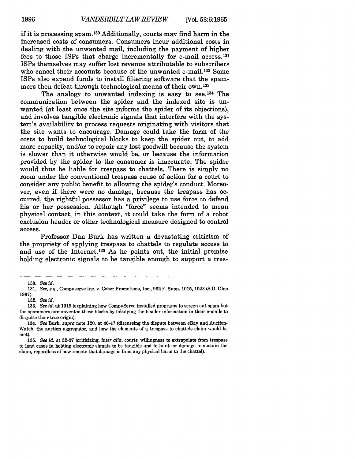if it is processing spam. 130 Additionally, courts may find harm in the increased costs of consumers. Consumers incur additional costs in dealing with the unwanted mail, including the payment of higher fees to those ISPs that charge incrementally for e-mail access.131 ISPs themselves may suffer lost revenue attributable to subscribers who cancel their accounts because of the unwanted e-mail.<sup>132</sup> Some ISPs also expend funds to install filtering software that the spammers then defeat through technological means of their own.133

The analogy to unwanted indexing is easy to see.<sup>134</sup> The communication between the spider and the indexed site is unwanted (at least once the site informs the spider of its objections), and involves tangible electronic signals that interfere with the system's availability to process requests originating with visitors that the site wants to encourage. Damage could take the form of the costs to build technological blocks to keep the spider out, to add more capacity, and/or to repair any lost goodwill because the system is slower than it otherwise would be, or because the information provided by the spider to the consumer is inaccurate. The spider would thus be liable for trespass to chattels. There is simply no room under the conventional trespass cause of action for a court to consider any public benefit to allowing the spider's conduct. Moreover, even if there were no damage, because the trespass has occurred, the rightful possessor has a privilege to use force to defend his or her possession. Although "force" seems intended to mean physical contact, in this context, it could take the form of a robot exclusion header or other technological measure designed to control access.

Professor Dan Burk has written a devastating criticism of the propriety of applying trespass to chattels to regulate access to and use of the Internet.135 As he points out, the initial premise holding electronic signals to be tangible enough to support a tres-

<sup>130.</sup> *See id.*

<sup>131.</sup> *See, e.g.,* Compuserve Inc. v. Cyber Promotions, Inc., 962 F. Supp. 1015, **1023** (S.D. Ohio **1997).**

<sup>132.</sup> *See id.*

<sup>133.</sup> *See id.* at 1019 (explaining how CompuServe installed programs to screen out spam but the spammers circumvented these blocks by falsifying the header information in their e-mails to disguise their true origin).

<sup>134.</sup> *See* Burk, *supra* note 120, at 46-47 (discussing the dispute between eBay and Auction-Watch, the auction aggregator, and how the elements of a trespass to chattels claim would be met).

<sup>135.</sup> *See id.* at 32-37 (criticizing, *inter alia,* courts' willingness to extrapolate from trespass to land cases in holding electronic signals to be tangible and to hunt for damage to sustain the claim, regardless of how remote that damage is from any physical harm to the chattel).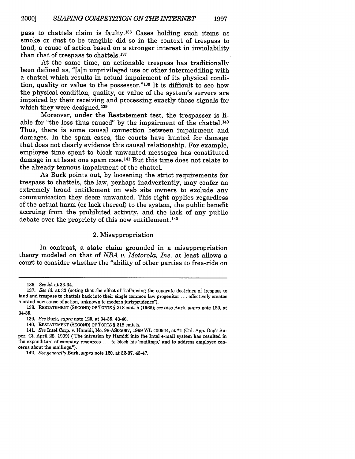pass to chattels claim is faulty. 136 Cases holding such items as smoke or dust to be tangible did so in the context of trespass to land, a cause of action based on a stronger interest in inviolability than that of trespass to chattels. <sup>137</sup>

At the same time, an actionable trespass has traditionally been defined as, "[a]n unprivileged use or other intermeddling with a chattel which results in actual impairment of its physical condition, quality or value to the possessor."'38 It is difficult to see how the physical condition, quality, or value of the system's servers are impaired by their receiving and processing exactly those signals for which they were designed.<sup>139</sup>

Moreover, under the Restatement test, the trespasser is liable for "the loss thus caused" by the impairment of the chattel.<sup>140</sup> Thus, there is some causal connection between impairment and damages. In the spam cases, the courts have hunted for damage that does not clearly evidence this causal relationship. For example, employee time spent to block unwanted messages has constituted damage in at least one spam case.<sup>141</sup> But this time does not relate to the already tenuous impairment of the chattel.

As Burk points out, by loosening the strict requirements for trespass to chattels, the law, perhaps inadvertently, may confer an extremely broad entitlement on web site owners to exclude any communication they deem unwanted. This right applies regardless of the actual harm (or lack thereof) to the system, the public benefit accruing from the prohibited activity, and the lack of any public debate over the propriety of this new entitlement. <sup>142</sup>

#### 2. Misappropriation

In contrast, a state claim grounded in a misappropriation theory modeled on that of *NBA v. Motorola, Inc.* at least allows a court to consider whether the "ability of other parties to free-ride on

<sup>136.</sup> *See id.* at 33-34.

**<sup>137.</sup>** *See id.* at **33** (noting that the effect of "collapsing the separate doctrines of trespass to land and trespass to chattels back into their single common law progenitor... effectively creates a brand new cause of action, unknown to modern jurisprudence").

<sup>138.</sup> RESTATEMENT (SECOND) OF TORTS § 218 cmt. h (1965); *see also* Burk, *supra* note 120, at 34-35.

<sup>139.</sup> *See* Burk, *supra* note 120, at 34-35, 43-46.

<sup>140.</sup> RESTATEMENT (SECOND) OF TORTS § 218 cmt. h.

<sup>141.</sup> *See* Intel Corp. v. Hamidi, No. 98-AS05067, 1999 WL 450944, at \*1 (Cal. App. Dep't Super. Ct. April 28, 1999) ('The intrusion by Hamidi into the Intel e-mail system has resulted in the expenditure of company resources ... te block his 'mailings,' and to address employee concerns about the mailings.").

<sup>142.</sup> *See generally* Burk, *supra* note 120, at 32-37, 43-47.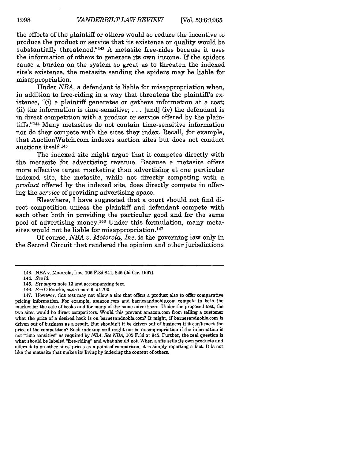the efforts of the plaintiff or others would so reduce the incentive to produce the product or service that its existence or quality would be substantially threatened."<sup>143</sup> A metasite free-rides because it uses the information of others to generate its own income. If the spiders cause a burden on the system so great as to threaten the indexed site's existence, the metasite sending the spiders may be liable for misappropriation.

Under *NBA,* a defendant is liable for misappropriation when, in addition to free-riding in a way that threatens the plaintiffs existence, "(i) a plaintiff generates or gathers information at a cost; (ii) the information is time-sensitive;  $\ldots$  [and] (iv) the defendant is in direct competition with a product or service offered by the plaintiffs."<sup>144</sup> Many metasites do not contain time-sensitive information nor do they compete with the sites they index. Recall, for example, that AuctionWatch.com indexes auction sites but does not conduct auctions itself.<sup>145</sup>

The indexed site might argue that it competes directly with the metasite for advertising revenue. Because a metasite offers more effective target marketing than advertising at one particular indexed site, the metasite, while not directly competing with a *product* offered by the indexed site, does directly compete in offering the *service* of providing advertising space.

Elsewhere, I have suggested that a court should not find direct competition unless the plaintiff and defendant compete with each other both in providing the particular good and for the same pool of advertising money. 146 Under this formulation, many metasites would not be liable for misappropriation.<sup>147</sup>

Of course, *NBA v. Motorola, Inc.* is the governing law only in the Second Circuit that rendered the opinion and other jurisdictions

<sup>143.</sup> **NBA** v. Motorola, Inc., 105 F.3d 841, 845 (2d Cir. 1997).

<sup>144.</sup> *See id.*

<sup>145.</sup> *See supra* note 13 and accompanying text.

<sup>146.</sup> *See* O'Rourke, *supra* note 9, at 700.

<sup>147.</sup> However, this test may not allow a site that offers a product also to offer comparative pricing information. For example, amazon.com and barnesandnoble.com compete in both the market for the sale of books and for many of the same advertisers. Under the proposed test, the two sites would be direct competitors. Would this prevent amazon.com from telling a customer what the price of a desired book is on barnesandnoble.com? It might, if barnesandnoble.com is driven out of business as a result. But shouldn't it be driven out of business if it can't meet the price of the competition? Such indexing still might not be misappropriation if the information is not "time-sensitive" as required by *NBA. See NBA,* 105 F.3d at 845. Further, the real question is what should be labeled "free-riding" and what should not. When a site sells its own products and offers data on other sites' prices as a point of comparison, it is simply reporting a fact. It is not like the metasite that makes its living by indexing the content of others.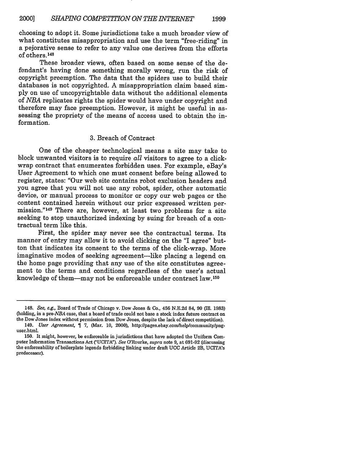choosing to adopt it. Some jurisdictions take a much broader view of what constitutes misappropriation and use the term "free-riding" in a pejorative sense to refer to any value one derives from the efforts of others. <sup>148</sup>

These broader views, often based on some sense of the defendant's having done something morally wrong, run the risk of copyright preemption. The data that the spiders use to build their databases is not copyrighted. A misappropriation claim based simply on use of uncopyrightable data without the additional elements of *NBA* replicates rights the spider would have under copyright and therefore may face preemption. However, it might be useful in assessing the propriety of the means of access used to obtain the information.

# 3. Breach of Contract

One of the cheaper technological means a site may take to block unwanted visitors is to require *all* visitors to agree to a clickwrap contract that enumerates forbidden uses. For example, eBay's User Agreement to which one must consent before being allowed to register, states: "Our web site contains robot exclusion headers and you agree that you will not use any robot, spider, other automatic device, or manual process to monitor or copy our web pages or the content contained herein without our prior expressed written permission."<sup>149</sup> There are, however, at least two problems for a site seeking to stop unauthorized indexing by suing for breach of a contractual term like this.

First, the spider may never see the contractual terms. Its manner of entry may allow it to avoid clicking on the "I agree" button that indicates its consent to the terms of the click-wrap. More imaginative modes of seeking agreement—like placing a legend on the home page providing that any use of the site constitutes agreement to the terms and conditions regardless of the user's actual knowledge of them-may not be enforceable under contract law. <sup>150</sup>

<sup>148.</sup> *See, e.g.,* Board of Trade of Chicago v. Dow Jones & Co., 456 N.E.2d 84, 90 (Iln. 1983) (holding, in a *pre-NBA* case, that a board of trade could not base a stock index future contract on the Dow Jones index without permission from Dow Jones, despite the lack of direct competition).

<sup>149.</sup> *User Agreement,* T 7, (Mar. 10, 2000), http://pages.ebay.com/help/Community/pnguser.html.

<sup>150.</sup> It might, however, be enforceable in jurisdictions that have adopted the Uniform Computer Information Transactions Act ('UCITA"). *See* O'Rourke, *supra* note 9, at 691-92 (discussing the enforceability of boilerplate legends forbidding linking under draft UCC Article 2B, UCITA's predecessor).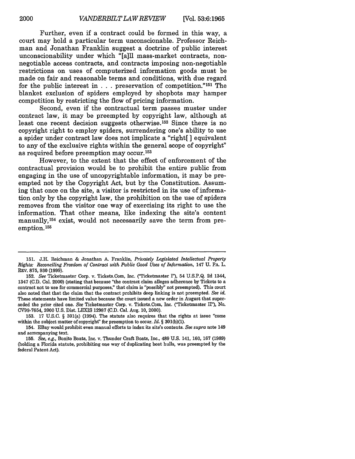Further, even if a contract could be formed in this way, a court may hold a particular term unconscionable. Professor Reichman and Jonathan Franklin suggest a doctrine of public interest unconscionability under which "[a]ll mass-market contracts, nonnegotiable access contracts, and contracts imposing non-negotiable restrictions on uses of computerized information goods must be made on fair and reasonable terms and conditions, with due regard for the public interest in . . . preservation of competition." 151 The blanket exclusion of spiders employed by shopbots may hamper competition by restricting the flow of pricing information.

Second, even if the contractual term passes muster under contract law, it may be preempted by copyright law, although at least one recent decision suggests otherwise.<sup>152</sup> Since there is no copyright right to employ spiders, surrendering one's ability to use a spider under contract law does not implicate a "right[ ] equivalent to any of the exclusive rights within the general scope of copyright" as required before preemption may occur.153

However, to the extent that the effect of enforcement of the contractual provision would be to prohibit the entire public from engaging in the use of uncopyrightable information, it may be preempted not by the Copyright Act, but by the Constitution. Assuming that once on the site, a visitor is restricted in its use of information only by the copyright law, the prohibition on the use of spiders removes from the visitor one way of exercising its right to use the information. That other means, like indexing the site's content manually, 154 exist, would not necessarily save the term from preemption. <sup>155</sup>

153. 17 U.S.C. § 301(a) (1994). The statute also requires that the rights at issue "come within the subject matter of copyright' for preemption to occur. *Id.* § 301(b)(1).

154. EBay would prohibit even manual efforts to index its site's contents. *See supra* note 149 and accompanying text.

<sup>151.</sup> J.H. Reichman & Jonathan A. Franklin, *Privately Legislated Intellectual Property Rights: Reconciling Freedom of Contract with Public Good Uses of Information,* 147 U. PA. L. REV. 875, 930 (1999).

<sup>152.</sup> *See* Ticketmaster Corp. v. Tickets.Com, Inc. ("Ticketmaster I"), 54 U.S.P.Q. 2d 1344, 1347 (C.D. Cal. 2000) (stating that because "the contract claim alleges adherence by Tickets to a contract not to use for commercial purposes," that claim is "possibly" not preempted). This court also noted that that the claim that the contract prohibits deep linking is not preempted. *See id.* These statements have limited value because the court issued a new order in August that superseded the prior cited one. *See* Ticketmaster Corp. v. Tickets.Com, Inc. ('Ticketmaster It'), No. CV99-7654, 2000 U.S. Dist. LEXIS 12987 (C.D. Cal. Aug. 10, 2000).

<sup>155.</sup> *See, e.g.,* Bonito Boats, Inc. v. Thunder Craft Boats, Inc., 489 U.S. 141, 160, 167 (1989) (holding a Florida statute, prohibiting one way of duplicating boat hulls, was preempted by the federal Patent Act).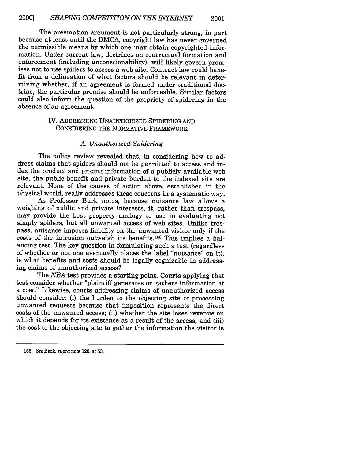The preemption argument is not particularly strong, in part because at least until the DMCA, copyright law has never governed the permissible means by which one may obtain copyrighted information. Under current law, doctrines on contractual formation and enforcement (including unconscionability), will likely govern promises not to use spiders to access a web site. Contract law could benefit from a delineation of what factors should be relevant in determining whether, if an agreement is formed under traditional doctrine, the particular promise should be enforceable. Similar factors could also inform the question of the propriety of spidering in the absence of an agreement.

# IV. ADDRESSING UNAUTHORIZED SPIDERING AND CONSIDERING THE NORMATIVE FRAMEWORK

#### *A. Unauthorized Spidering*

The policy review revealed that, in considering how to address claims that spiders should not be permitted to access and index the product and pricing information of a publicly available web site, the public benefit and private burden to the indexed site are relevant. None of the causes of action above, established in the physical world, really addresses these concerns in a systematic way.

As Professor Burk notes, because nuisance law allows a weighing of public and private interests, it, rather than trespass, may provide the best property analogy to use in evaluating not simply spiders, but all unwanted access of web sites. Unlike trespass, nuisance imposes liability on the unwanted visitor only if the costs of the intrusion outweigh its benefits. 156 This implies a balancing test. The key question in formulating such a test (regardless of whether or not one eventually places the label "nuisance" on it), is what benefits and costs should be legally cognizable in addressing claims of unauthorized access?

The *NBA* test provides a starting point. Courts applying that test consider whether "plaintiff generates or gathers information at a cost." Likewise, courts addressing claims of unauthorized access should consider: (i) the burden to the objecting site of processing unwanted requests because that imposition represents the direct costs of the unwanted access; (ii) whether the site loses revenue on which it depends for its existence as a result of the access; and (iii) the cost to the objecting site to gather the information the visitor is

**<sup>156.</sup>** *See* Burk, *supra* note 120, at 53.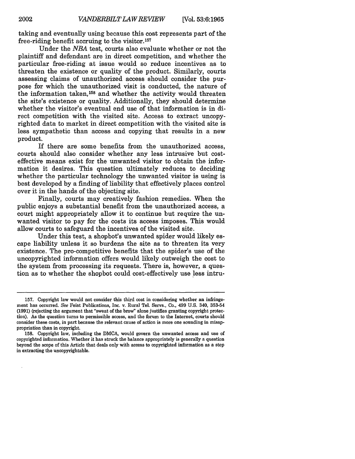taking and eventually using because this cost represents part of the free-riding benefit accruing to the visitor.<sup>157</sup>

Under the *NBA* test, courts also evaluate whether or not the plaintiff and defendant are in direct competition, and whether the particular free-riding at issue would so reduce incentives as to threaten the existence or quality of the product. Similarly, courts assessing claims of unauthorized access should consider the purpose for which the unauthorized visit is conducted, the nature of the information taken,  $158$  and whether the activity would threaten the site's existence or quality. Additionally, they should determine whether the visitor's eventual end use of that information is in direct competition with the visited site. Access to extract uncopyrighted data to market in direct competition with the visited site is less sympathetic than access and copying that results in a new product.

If there are some benefits from the unauthorized access, courts should also consider whether any less intrusive but costeffective means exist for the unwanted visitor to obtain the information it desires. This question ultimately reduces to deciding whether the particular technology the unwanted visitor is using is best developed by a finding of liability that effectively places control over it in the hands of the objecting site.

Finally, courts may creatively fashion remedies. When the public enjoys a substantial benefit from the unauthorized access, a court might appropriately allow it to continue but require the unwanted visitor to pay for the costs its access imposes. This would allow courts to safeguard the incentives of the visited site.

Under this test, a shopbot's unwanted spider would likely escape liability unless it so burdens the site as to threaten its very existence. The pro-competitive benefits that the spider's use of the uncopyrighted information offers would likely outweigh the cost to the system from processing its requests. There is, however, a question as to whether the shopbot could cost-effectively use less intru-

**<sup>157.</sup>** Copyright law would not consider this third cost in considering whether an infringement has occurred. See Feist Publications, Inc. v. Rural Tel. Servs., Co., 499 U.S. 340, **353-54** (1991) (rejecting the argument that "sweat of the brow" alone justifies granting copyright protection). As the question turns to permissible access, and the forum to the Internet, courts should consider these costs, in part because the relevant cause of action is more one sounding in misappropriation than in copyright.

<sup>158.</sup> Copyright law, including the DMCA, would govern the unwanted access and use of copyrighted information. Whether it has struck the balance appropriately is generally a question beyond the scope of this Article that deals only with access to copyrighted information as a step in extracting the uncopyrightable.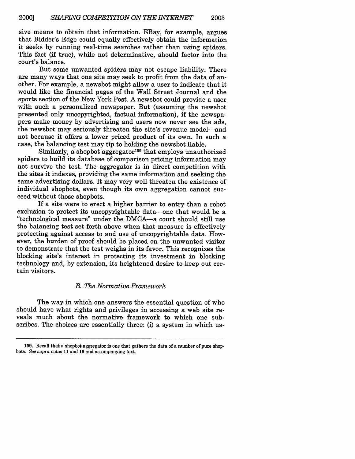sive means to obtain that information. EBay, for example, argues that Bidder's Edge could equally effectively obtain the information it seeks by running real-time searches rather than using spiders. This fact (if true), while not determinative, should factor into the court's balance.

But some unwanted spiders may not escape liability. There are many ways that one site may seek to profit from the data of another. For example, a newsbot might allow a user to indicate that it would like the financial pages of the Wall Street Journal and the sports section of the New York Post. A newsbot could provide a user with such a personalized newspaper. But (assuming the newsbot presented only uncopyrighted, factual information), if the newspapers make money by advertising and users now never see the ads, the newsbot may seriously threaten the site's revenue model-and not because it offers a lower priced product of its own. In such a case, the balancing test may tip to holding the newsbot liable.

Similarly, a shopbot aggregator<sup>159</sup> that employs unauthorized spiders to build its database of comparison pricing information may not survive the test. The aggregator is in direct competition with the sites it indexes, providing the same information and seeking the same advertising dollars. It may very well threaten the existence of individual shopbots, even though its own aggregation cannot succeed without those shopbots.

If a site were to erect a higher barrier to entry than a robot exclusion to protect its uncopyrightable data-one that would be a "technological measure" under the DMCA-a court should still use the balancing test set forth above when that measure is effectively protecting against access to and use of uncopyrightable data. However, the burden of proof should be placed on the unwanted visitor to demonstrate that the test weighs in its favor. This recognizes the blocking site's interest in protecting its investment in blocking technology and, by extension, its heightened desire to keep out certain visitors.

# *B. The Normative Framework*

The way in which one answers the essential question of who should have what rights and privileges in accessing a web site reveals much about the normative framework to which one subscribes. The choices are essentially three: (i) a system in which us-

<sup>159.</sup> Recall that a shopbot aggregator is one that gathers the data of a number of pure shopbots. See supra notos 11 and 19 and accompanying toxt.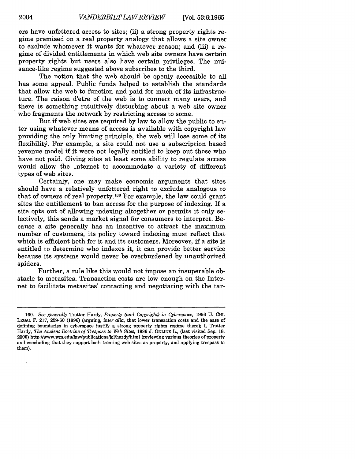ers have unfettered access to sites; (ii) a strong property rights regime premised on a real property analogy that allows a site owner to exclude whomever it wants for whatever reason; and (iii) a regime of divided entitlements in which web site owners have certain property rights but users also have certain privileges. The nuisance-like regime suggested above subscribes to the third.

The notion that the web should be openly accessible to all has some appeal. Public funds helped to establish the standards that allow the web to function and paid for much of its infrastructure. The raison d'etre of the web is to connect many users, and there is something intuitively disturbing about a web site owner who fragments the network by restricting access to some.

But if web sites are required by law to allow the public to enter using whatever means of access is available with copyright law providing the only limiting principle, the web will lose some of its flexibility. For example, a site could not use a subscription based revenue model if it were not legally entitled to keep out those who have not paid. Giving sites at least some ability to regulate access would allow the Internet to accommodate a variety of different types of web sites.

Certainly, one may make economic arguments that sites should have a relatively unfettered right to exclude analogous to that of owners of real property.<sup>160</sup> For example, the law could grant sites the entitlement to ban access for the purpose of indexing. If a site opts out of allowing indexing altogether or permits it only selectively, this sends a market signal for consumers to interpret. Because a site generally has an incentive to attract the maximum number of customers, its policy toward indexing must reflect that which is efficient both for it and its customers. Moreover, if a site is entitled to determine who indexes it, it can provide better service because its systems would never be overburdened by unauthorized spiders.

Further, a rule like this would not impose an insuperable obstacle to metasites. Transaction costs are low enough on the Internet to facilitate metasites' contacting and negotiating with the tar-

 $\overline{a}$ 

**<sup>160.</sup>** *See generally* Trotter Hardy, *Property (and Copyright) in Cyberspace,* 1996 **U. CHI.** LEGAL F. 217, 259-60 (1996) (arguing, *inter alia,* that lower transaction costs and the ease of defining boundaries in cyberspace justify a strong property rights regime there); I. Trotter Hardy, *The Ancient Doctrine of Trespass to Web Sites,* 1996 J. ONLINE L., (last visited Sep. *18,* 2000) http://www.wm.edu/law/publications/jol/hardy/html (reviewing various theories of property and concluding that they support both treating web sites as property, and applying trespass to them).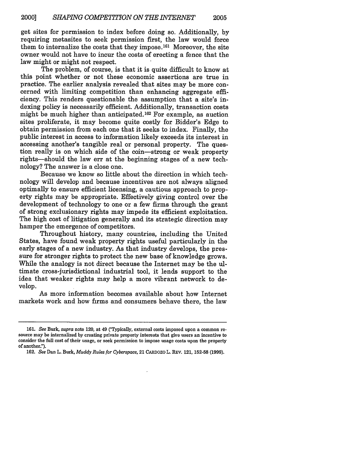get sites for permission to index before doing so. Additionally, by requiring metasites to seek permission first, the law would force them to internalize the costs that they impose. 161 Moreover, the site owner would not have to incur the costs of erecting a fence that the law might or might not respect.

The problem, of course, is that it is quite difficult to know at this point whether or not these economic assertions are true in practice. The earlier analysis revealed that sites may be more concerned with limiting competition than enhancing aggregate efficiency. This renders questionable the assumption that a site's indexing policy is necessarily efficient. Additionally, transaction costs might be much higher than anticipated. 162 For example, as auction sites proliferate, it may become quite costly for Bidder's Edge to obtain permission from each one that it seeks to index. Finally, the public interest in access to information likely exceeds its interest in accessing another's tangible real or personal property. The question really is on which side of the coin-strong or weak property rights-should the law err at the beginning stages of a new technology? The answer is a close one.

Because we know so little about the direction in which technology will develop and because incentives are not always aligned optimally to ensure efficient licensing, a cautious approach to property rights may be appropriate. Effectively giving control over the development of technology to one or a few firms through the grant of strong exclusionary rights may impede its efficient exploitation. The high cost of litigation generally and its strategic direction may hamper the emergence of competitors.

Throughout history, many countries, including the United States, have found weak property rights useful particularly in the early stages of a new industry. As that industry develops, the pressure for stronger rights to protect the new base of knowledge grows. While the analogy is not direct because the Internet may be the ultimate cross-jurisdictional industrial tool, it lends support to the idea that weaker rights may help a more vibrant network to develop.

As more information becomes available about how Internet markets work and how firms and consumers behave there, the law

**162.** *See* Dan L. Burk, *Muddy Rules for Cyberspace,* 21 CARDOZO L. REV. 121, **152-58 (1999).**

**<sup>161.</sup>** *See* Burk, *supra* note 120, at 49 (Typically, external costs imposed upon a common re- source may be internalized **by** creating private property interests that give users an incentive to consider the full cost of their usage, or seek permission to impose usage costs upon the property of another.").